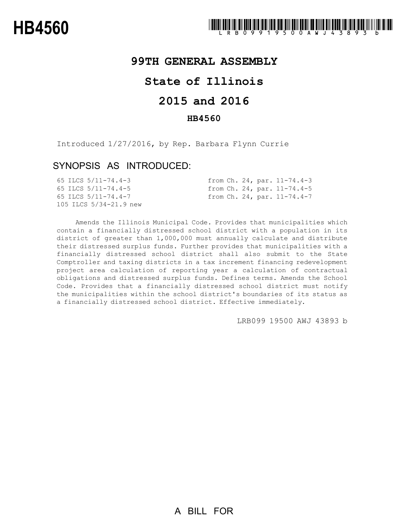## **99TH GENERAL ASSEMBLY**

# **State of Illinois**

## **2015 and 2016**

### **HB4560**

Introduced 1/27/2016, by Rep. Barbara Flynn Currie

### SYNOPSIS AS INTRODUCED:

|  | 65 ILCS 5/11-74.4-3       |  |  | from Ch. 24, par. 11-74.4-3   |
|--|---------------------------|--|--|-------------------------------|
|  | 65 ILCS $5/11 - 74.4 - 5$ |  |  | from Ch. 24, par. $11-74.4-5$ |
|  | 65 ILCS 5/11-74.4-7       |  |  | from Ch. 24, par. 11-74.4-7   |
|  | 105 ILCS 5/34-21.9 new    |  |  |                               |

Amends the Illinois Municipal Code. Provides that municipalities which contain a financially distressed school district with a population in its district of greater than 1,000,000 must annually calculate and distribute their distressed surplus funds. Further provides that municipalities with a financially distressed school district shall also submit to the State Comptroller and taxing districts in a tax increment financing redevelopment project area calculation of reporting year a calculation of contractual obligations and distressed surplus funds. Defines terms. Amends the School Code. Provides that a financially distressed school district must notify the municipalities within the school district's boundaries of its status as a financially distressed school district. Effective immediately.

LRB099 19500 AWJ 43893 b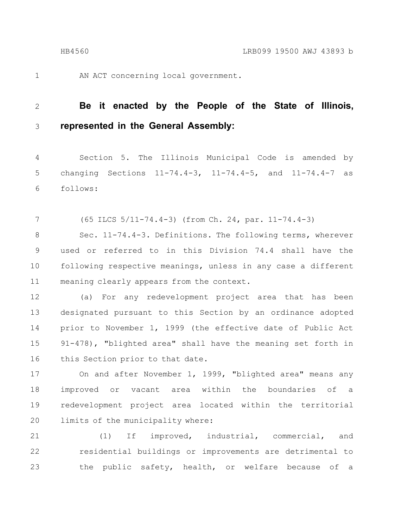1

AN ACT concerning local government.

#### **Be it enacted by the People of the State of Illinois, represented in the General Assembly:** 2 3

Section 5. The Illinois Municipal Code is amended by changing Sections 11-74.4-3, 11-74.4-5, and 11-74.4-7 as follows: 4 5 6

(65 ILCS 5/11-74.4-3) (from Ch. 24, par. 11-74.4-3) 7

Sec. 11-74.4-3. Definitions. The following terms, wherever used or referred to in this Division 74.4 shall have the following respective meanings, unless in any case a different meaning clearly appears from the context. 8 9 10 11

(a) For any redevelopment project area that has been designated pursuant to this Section by an ordinance adopted prior to November 1, 1999 (the effective date of Public Act 91-478), "blighted area" shall have the meaning set forth in this Section prior to that date. 12 13 14 15 16

On and after November 1, 1999, "blighted area" means any improved or vacant area within the boundaries of a redevelopment project area located within the territorial limits of the municipality where: 17 18 19 20

(1) If improved, industrial, commercial, and residential buildings or improvements are detrimental to the public safety, health, or welfare because of a 21 22 23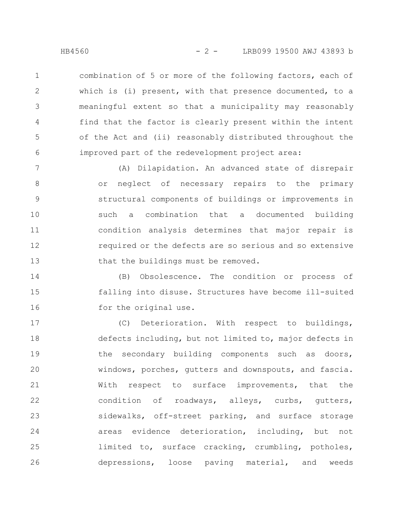combination of 5 or more of the following factors, each of which is (i) present, with that presence documented, to a meaningful extent so that a municipality may reasonably find that the factor is clearly present within the intent of the Act and (ii) reasonably distributed throughout the improved part of the redevelopment project area: 1 2 3 4 5 6

(A) Dilapidation. An advanced state of disrepair or neglect of necessary repairs to the primary structural components of buildings or improvements in such a combination that a documented building condition analysis determines that major repair is required or the defects are so serious and so extensive that the buildings must be removed. 7 8 9 10 11 12 13

(B) Obsolescence. The condition or process of falling into disuse. Structures have become ill-suited for the original use. 14 15 16

(C) Deterioration. With respect to buildings, defects including, but not limited to, major defects in the secondary building components such as doors, windows, porches, gutters and downspouts, and fascia. With respect to surface improvements, that the condition of roadways, alleys, curbs, gutters, sidewalks, off-street parking, and surface storage areas evidence deterioration, including, but not limited to, surface cracking, crumbling, potholes, depressions, loose paving material, and weeds 17 18 19 20 21 22 23 24 25 26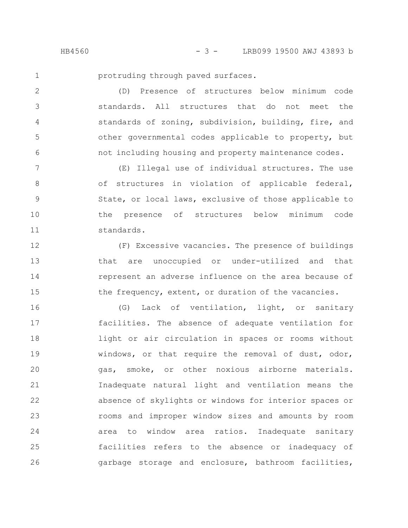HB4560 - 3 - LRB099 19500 AWJ 43893 b

1

2

3

4

5

6

protruding through paved surfaces.

(D) Presence of structures below minimum code standards. All structures that do not meet the standards of zoning, subdivision, building, fire, and other governmental codes applicable to property, but not including housing and property maintenance codes.

(E) Illegal use of individual structures. The use of structures in violation of applicable federal, State, or local laws, exclusive of those applicable to the presence of structures below minimum code standards. 7 8 9 10 11

(F) Excessive vacancies. The presence of buildings that are unoccupied or under-utilized and that represent an adverse influence on the area because of the frequency, extent, or duration of the vacancies. 12 13 14 15

(G) Lack of ventilation, light, or sanitary facilities. The absence of adequate ventilation for light or air circulation in spaces or rooms without windows, or that require the removal of dust, odor, gas, smoke, or other noxious airborne materials. Inadequate natural light and ventilation means the absence of skylights or windows for interior spaces or rooms and improper window sizes and amounts by room area to window area ratios. Inadequate sanitary facilities refers to the absence or inadequacy of garbage storage and enclosure, bathroom facilities, 16 17 18 19 20 21 22 23 24 25 26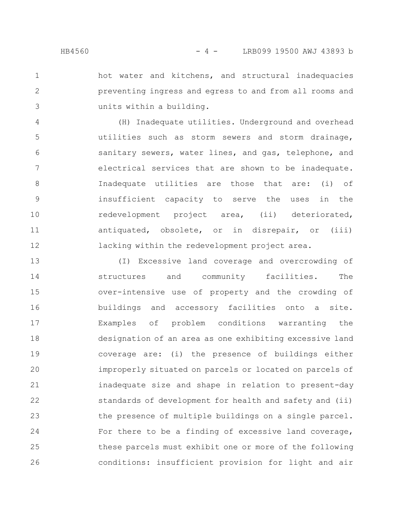hot water and kitchens, and structural inadequacies preventing ingress and egress to and from all rooms and units within a building. 1 2 3

(H) Inadequate utilities. Underground and overhead utilities such as storm sewers and storm drainage, sanitary sewers, water lines, and gas, telephone, and electrical services that are shown to be inadequate. Inadequate utilities are those that are: (i) of insufficient capacity to serve the uses in the redevelopment project area, (ii) deteriorated, antiquated, obsolete, or in disrepair, or (iii) lacking within the redevelopment project area. 4 5 6 7 8 9 10 11 12

(I) Excessive land coverage and overcrowding of structures and community facilities. The over-intensive use of property and the crowding of buildings and accessory facilities onto a site. Examples of problem conditions warranting the designation of an area as one exhibiting excessive land coverage are: (i) the presence of buildings either improperly situated on parcels or located on parcels of inadequate size and shape in relation to present-day standards of development for health and safety and (ii) the presence of multiple buildings on a single parcel. For there to be a finding of excessive land coverage, these parcels must exhibit one or more of the following conditions: insufficient provision for light and air 13 14 15 16 17 18 19 20 21 22 23 24 25 26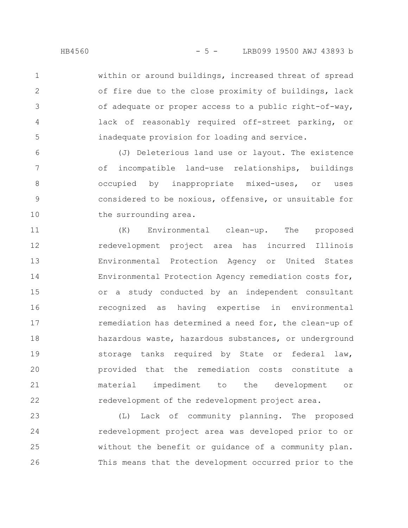within or around buildings, increased threat of spread of fire due to the close proximity of buildings, lack of adequate or proper access to a public right-of-way, lack of reasonably required off-street parking, or inadequate provision for loading and service. 1 2 3 4 5

(J) Deleterious land use or layout. The existence of incompatible land-use relationships, buildings occupied by inappropriate mixed-uses, or uses considered to be noxious, offensive, or unsuitable for the surrounding area. 6 7 8 9 10

(K) Environmental clean-up. The proposed redevelopment project area has incurred Illinois Environmental Protection Agency or United States Environmental Protection Agency remediation costs for, or a study conducted by an independent consultant recognized as having expertise in environmental remediation has determined a need for, the clean-up of hazardous waste, hazardous substances, or underground storage tanks required by State or federal law, provided that the remediation costs constitute a material impediment to the development or redevelopment of the redevelopment project area. 11 12 13 14 15 16 17 18 19 20 21 22

(L) Lack of community planning. The proposed redevelopment project area was developed prior to or without the benefit or guidance of a community plan. This means that the development occurred prior to the 23 24 25 26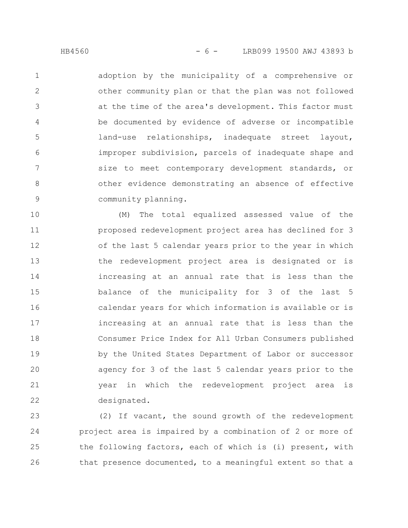adoption by the municipality of a comprehensive or other community plan or that the plan was not followed at the time of the area's development. This factor must be documented by evidence of adverse or incompatible land-use relationships, inadequate street layout, improper subdivision, parcels of inadequate shape and size to meet contemporary development standards, or other evidence demonstrating an absence of effective community planning. 1 2 3 4 5 6 7 8 9

(M) The total equalized assessed value of the proposed redevelopment project area has declined for 3 of the last 5 calendar years prior to the year in which the redevelopment project area is designated or is increasing at an annual rate that is less than the balance of the municipality for 3 of the last 5 calendar years for which information is available or is increasing at an annual rate that is less than the Consumer Price Index for All Urban Consumers published by the United States Department of Labor or successor agency for 3 of the last 5 calendar years prior to the year in which the redevelopment project area is designated. 10 11 12 13 14 15 16 17 18 19 20 21 22

(2) If vacant, the sound growth of the redevelopment project area is impaired by a combination of 2 or more of the following factors, each of which is (i) present, with that presence documented, to a meaningful extent so that a 23 24 25 26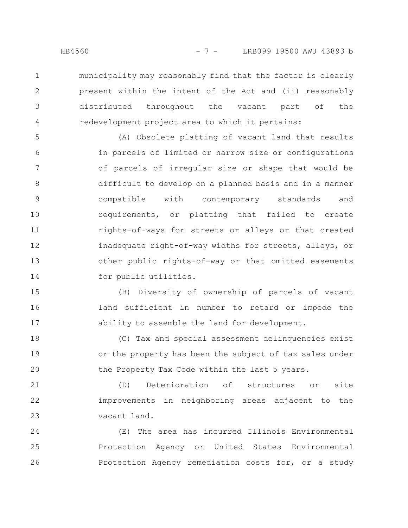municipality may reasonably find that the factor is clearly present within the intent of the Act and (ii) reasonably distributed throughout the vacant part of the redevelopment project area to which it pertains: 1 2 3 4

(A) Obsolete platting of vacant land that results in parcels of limited or narrow size or configurations of parcels of irregular size or shape that would be difficult to develop on a planned basis and in a manner compatible with contemporary standards and requirements, or platting that failed to create rights-of-ways for streets or alleys or that created inadequate right-of-way widths for streets, alleys, or other public rights-of-way or that omitted easements for public utilities. 5 6 7 8 9 10 11 12 13 14

(B) Diversity of ownership of parcels of vacant land sufficient in number to retard or impede the ability to assemble the land for development. 15 16 17

(C) Tax and special assessment delinquencies exist or the property has been the subject of tax sales under the Property Tax Code within the last 5 years. 18 19 20

(D) Deterioration of structures or site improvements in neighboring areas adjacent to the vacant land. 21 22 23

(E) The area has incurred Illinois Environmental Protection Agency or United States Environmental Protection Agency remediation costs for, or a study 24 25 26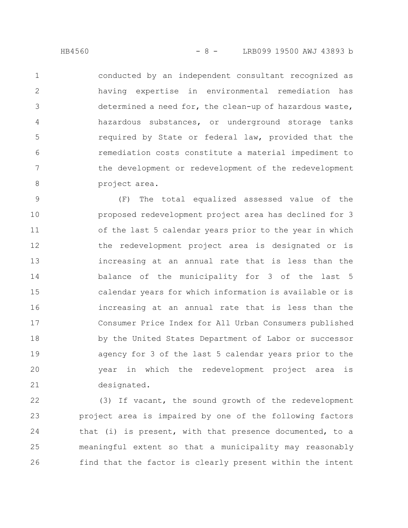conducted by an independent consultant recognized as having expertise in environmental remediation has determined a need for, the clean-up of hazardous waste, hazardous substances, or underground storage tanks required by State or federal law, provided that the remediation costs constitute a material impediment to the development or redevelopment of the redevelopment project area. 1 2 3 4 5 6 7 8

(F) The total equalized assessed value of the proposed redevelopment project area has declined for 3 of the last 5 calendar years prior to the year in which the redevelopment project area is designated or is increasing at an annual rate that is less than the balance of the municipality for 3 of the last 5 calendar years for which information is available or is increasing at an annual rate that is less than the Consumer Price Index for All Urban Consumers published by the United States Department of Labor or successor agency for 3 of the last 5 calendar years prior to the year in which the redevelopment project area is designated. 9 10 11 12 13 14 15 16 17 18 19 20 21

(3) If vacant, the sound growth of the redevelopment project area is impaired by one of the following factors that (i) is present, with that presence documented, to a meaningful extent so that a municipality may reasonably find that the factor is clearly present within the intent 22 23 24 25 26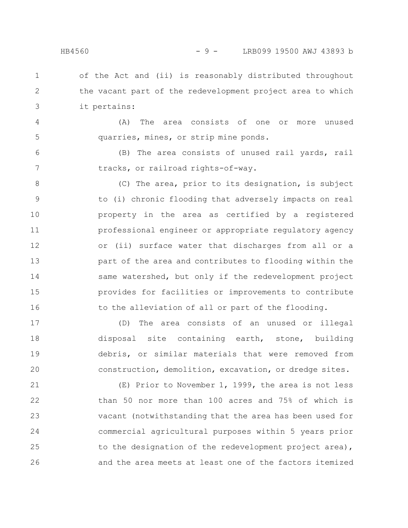4

5

6

7

### HB4560 - 9 - LRB099 19500 AWJ 43893 b

of the Act and (ii) is reasonably distributed throughout the vacant part of the redevelopment project area to which it pertains: 1 2 3

(A) The area consists of one or more unused quarries, mines, or strip mine ponds.

(B) The area consists of unused rail yards, rail tracks, or railroad rights-of-way.

(C) The area, prior to its designation, is subject to (i) chronic flooding that adversely impacts on real property in the area as certified by a registered professional engineer or appropriate regulatory agency or (ii) surface water that discharges from all or a part of the area and contributes to flooding within the same watershed, but only if the redevelopment project provides for facilities or improvements to contribute to the alleviation of all or part of the flooding. 8 9 10 11 12 13 14 15 16

(D) The area consists of an unused or illegal disposal site containing earth, stone, building debris, or similar materials that were removed from construction, demolition, excavation, or dredge sites. 17 18 19 20

(E) Prior to November 1, 1999, the area is not less than 50 nor more than 100 acres and 75% of which is vacant (notwithstanding that the area has been used for commercial agricultural purposes within 5 years prior to the designation of the redevelopment project area), and the area meets at least one of the factors itemized 21 22 23 24 25 26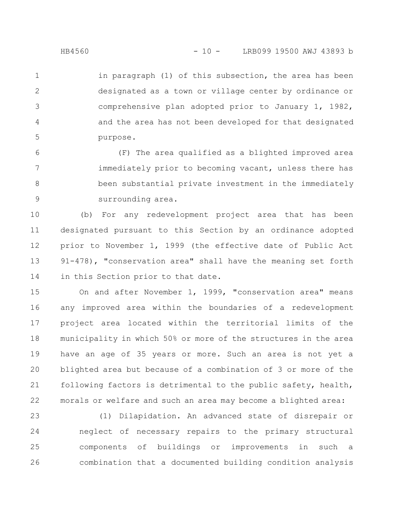in paragraph (1) of this subsection, the area has been designated as a town or village center by ordinance or comprehensive plan adopted prior to January 1, 1982, and the area has not been developed for that designated purpose. 1 2 3 4 5

(F) The area qualified as a blighted improved area immediately prior to becoming vacant, unless there has been substantial private investment in the immediately surrounding area. 6 7 8 9

(b) For any redevelopment project area that has been designated pursuant to this Section by an ordinance adopted prior to November 1, 1999 (the effective date of Public Act 91-478), "conservation area" shall have the meaning set forth in this Section prior to that date. 10 11 12 13 14

On and after November 1, 1999, "conservation area" means any improved area within the boundaries of a redevelopment project area located within the territorial limits of the municipality in which 50% or more of the structures in the area have an age of 35 years or more. Such an area is not yet a blighted area but because of a combination of 3 or more of the following factors is detrimental to the public safety, health, morals or welfare and such an area may become a blighted area: 15 16 17 18 19 20 21 22

(1) Dilapidation. An advanced state of disrepair or neglect of necessary repairs to the primary structural components of buildings or improvements in such a combination that a documented building condition analysis 23 24 25 26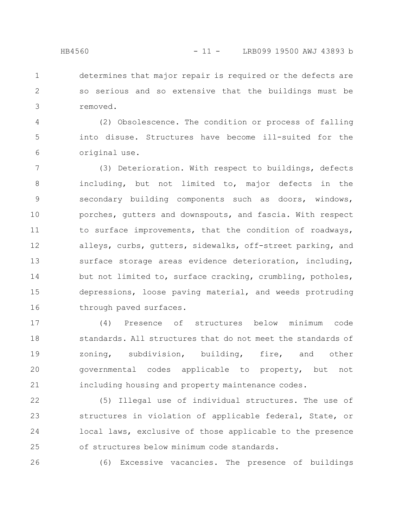determines that major repair is required or the defects are so serious and so extensive that the buildings must be removed. 1 2 3

(2) Obsolescence. The condition or process of falling into disuse. Structures have become ill-suited for the original use. 4 5 6

(3) Deterioration. With respect to buildings, defects including, but not limited to, major defects in the secondary building components such as doors, windows, porches, gutters and downspouts, and fascia. With respect to surface improvements, that the condition of roadways, alleys, curbs, gutters, sidewalks, off-street parking, and surface storage areas evidence deterioration, including, but not limited to, surface cracking, crumbling, potholes, depressions, loose paving material, and weeds protruding through paved surfaces. 7 8 9 10 11 12 13 14 15 16

(4) Presence of structures below minimum code standards. All structures that do not meet the standards of zoning, subdivision, building, fire, and other governmental codes applicable to property, but not including housing and property maintenance codes. 17 18 19 20 21

(5) Illegal use of individual structures. The use of structures in violation of applicable federal, State, or local laws, exclusive of those applicable to the presence of structures below minimum code standards. 22 23 24 25

26

(6) Excessive vacancies. The presence of buildings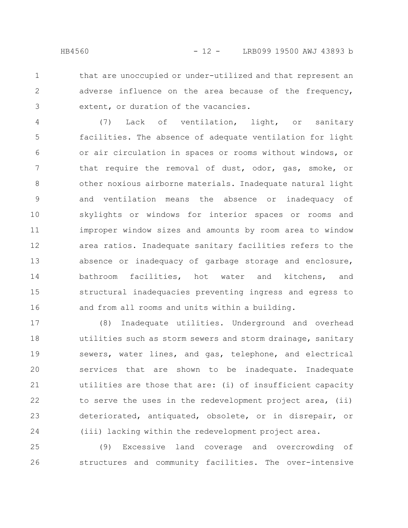1 2

3

that are unoccupied or under-utilized and that represent an adverse influence on the area because of the frequency, extent, or duration of the vacancies.

(7) Lack of ventilation, light, or sanitary facilities. The absence of adequate ventilation for light or air circulation in spaces or rooms without windows, or that require the removal of dust, odor, gas, smoke, or other noxious airborne materials. Inadequate natural light and ventilation means the absence or inadequacy of skylights or windows for interior spaces or rooms and improper window sizes and amounts by room area to window area ratios. Inadequate sanitary facilities refers to the absence or inadequacy of garbage storage and enclosure, bathroom facilities, hot water and kitchens, and structural inadequacies preventing ingress and egress to and from all rooms and units within a building. 4 5 6 7 8 9 10 11 12 13 14 15 16

(8) Inadequate utilities. Underground and overhead utilities such as storm sewers and storm drainage, sanitary sewers, water lines, and gas, telephone, and electrical services that are shown to be inadequate. Inadequate utilities are those that are: (i) of insufficient capacity to serve the uses in the redevelopment project area, (ii) deteriorated, antiquated, obsolete, or in disrepair, or (iii) lacking within the redevelopment project area. 17 18 19 20 21 22 23 24

(9) Excessive land coverage and overcrowding of structures and community facilities. The over-intensive 25 26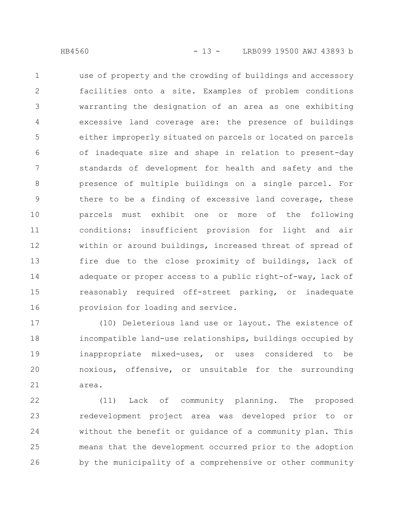use of property and the crowding of buildings and accessory facilities onto a site. Examples of problem conditions warranting the designation of an area as one exhibiting excessive land coverage are: the presence of buildings either improperly situated on parcels or located on parcels of inadequate size and shape in relation to present-day standards of development for health and safety and the presence of multiple buildings on a single parcel. For there to be a finding of excessive land coverage, these parcels must exhibit one or more of the following conditions: insufficient provision for light and air within or around buildings, increased threat of spread of fire due to the close proximity of buildings, lack of adequate or proper access to a public right-of-way, lack of reasonably required off-street parking, or inadequate provision for loading and service. 1 2 3 4 5 6 7 8 9 10 11 12 13 14 15 16

(10) Deleterious land use or layout. The existence of incompatible land-use relationships, buildings occupied by inappropriate mixed-uses, or uses considered to be noxious, offensive, or unsuitable for the surrounding area. 17 18 19 20 21

(11) Lack of community planning. The proposed redevelopment project area was developed prior to or without the benefit or guidance of a community plan. This means that the development occurred prior to the adoption by the municipality of a comprehensive or other community 22 23 24 25 26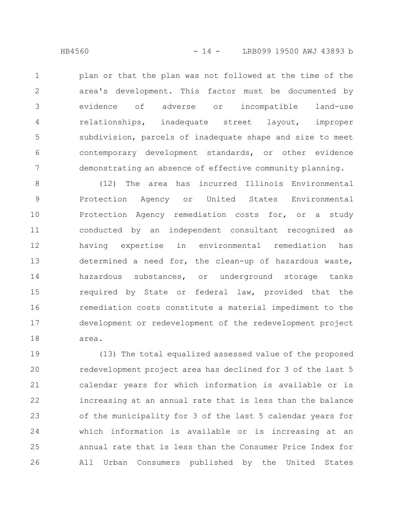plan or that the plan was not followed at the time of the area's development. This factor must be documented by evidence of adverse or incompatible land-use relationships, inadequate street layout, improper subdivision, parcels of inadequate shape and size to meet contemporary development standards, or other evidence demonstrating an absence of effective community planning. 1 2 3 4 5 6 7

(12) The area has incurred Illinois Environmental Protection Agency or United States Environmental Protection Agency remediation costs for, or a study conducted by an independent consultant recognized as having expertise in environmental remediation has determined a need for, the clean-up of hazardous waste, hazardous substances, or underground storage tanks required by State or federal law, provided that the remediation costs constitute a material impediment to the development or redevelopment of the redevelopment project area. 8 9 10 11 12 13 14 15 16 17 18

(13) The total equalized assessed value of the proposed redevelopment project area has declined for 3 of the last 5 calendar years for which information is available or is increasing at an annual rate that is less than the balance of the municipality for 3 of the last 5 calendar years for which information is available or is increasing at an annual rate that is less than the Consumer Price Index for All Urban Consumers published by the United States 19 20 21 22 23 24 25 26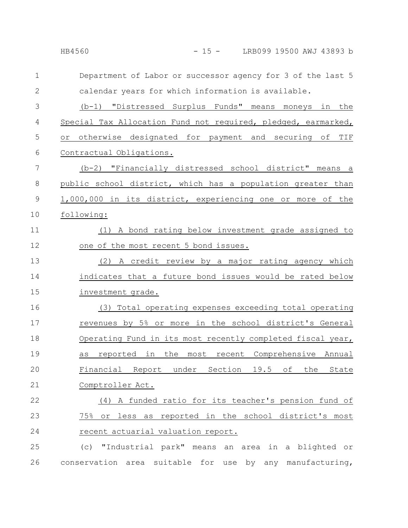| LRB099 19500 AWJ 43893 b |
|--------------------------|
|                          |

Department of Labor or successor agency for 3 of the last 5 calendar years for which information is available. (b-1) "Distressed Surplus Funds" means moneys in the Special Tax Allocation Fund not required, pledged, earmarked, or otherwise designated for payment and securing of TIF Contractual Obligations. (b-2) "Financially distressed school district" means a public school district, which has a population greater than 1,000,000 in its district, experiencing one or more of the following: (1) A bond rating below investment grade assigned to one of the most recent 5 bond issues. (2) A credit review by a major rating agency which indicates that a future bond issues would be rated below investment grade. (3) Total operating expenses exceeding total operating revenues by 5% or more in the school district's General Operating Fund in its most recently completed fiscal year, as reported in the most recent Comprehensive Annual Financial Report under Section 19.5 of the State Comptroller Act. (4) A funded ratio for its teacher's pension fund of 75% or less as reported in the school district's most recent actuarial valuation report. (c) "Industrial park" means an area in a blighted or conservation area suitable for use by any manufacturing, 1 2 3 4 5 6 7 8 9 10 11 12 13 14 15 16 17 18 19 20 21 22 23 24 25 26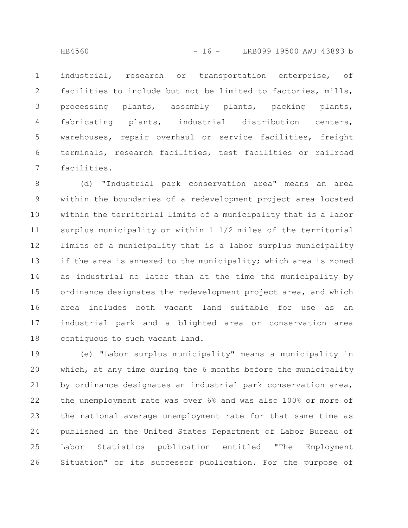industrial, research or transportation enterprise, of facilities to include but not be limited to factories, mills, processing plants, assembly plants, packing plants, fabricating plants, industrial distribution centers, warehouses, repair overhaul or service facilities, freight terminals, research facilities, test facilities or railroad facilities. 1 2 3 4 5 6 7

(d) "Industrial park conservation area" means an area within the boundaries of a redevelopment project area located within the territorial limits of a municipality that is a labor surplus municipality or within 1 1/2 miles of the territorial limits of a municipality that is a labor surplus municipality if the area is annexed to the municipality; which area is zoned as industrial no later than at the time the municipality by ordinance designates the redevelopment project area, and which area includes both vacant land suitable for use as an industrial park and a blighted area or conservation area contiguous to such vacant land. 8 9 10 11 12 13 14 15 16 17 18

(e) "Labor surplus municipality" means a municipality in which, at any time during the 6 months before the municipality by ordinance designates an industrial park conservation area, the unemployment rate was over 6% and was also 100% or more of the national average unemployment rate for that same time as published in the United States Department of Labor Bureau of Labor Statistics publication entitled "The Employment Situation" or its successor publication. For the purpose of 19 20 21 22 23 24 25 26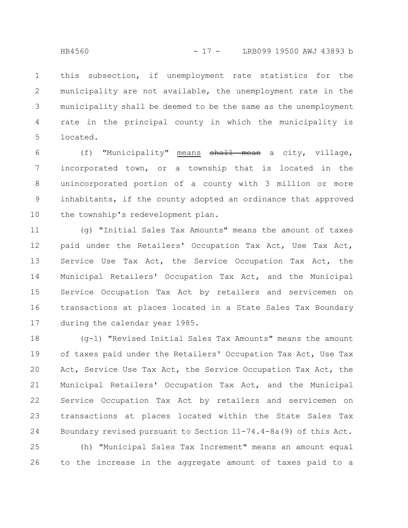this subsection, if unemployment rate statistics for the municipality are not available, the unemployment rate in the municipality shall be deemed to be the same as the unemployment rate in the principal county in which the municipality is located. 1 2 3 4 5

(f) "Municipality" means shall mean a city, village, incorporated town, or a township that is located in the unincorporated portion of a county with 3 million or more inhabitants, if the county adopted an ordinance that approved the township's redevelopment plan. 6 7 8 9 10

(g) "Initial Sales Tax Amounts" means the amount of taxes paid under the Retailers' Occupation Tax Act, Use Tax Act, Service Use Tax Act, the Service Occupation Tax Act, the Municipal Retailers' Occupation Tax Act, and the Municipal Service Occupation Tax Act by retailers and servicemen on transactions at places located in a State Sales Tax Boundary during the calendar year 1985. 11 12 13 14 15 16 17

(g-1) "Revised Initial Sales Tax Amounts" means the amount of taxes paid under the Retailers' Occupation Tax Act, Use Tax Act, Service Use Tax Act, the Service Occupation Tax Act, the Municipal Retailers' Occupation Tax Act, and the Municipal Service Occupation Tax Act by retailers and servicemen on transactions at places located within the State Sales Tax Boundary revised pursuant to Section 11-74.4-8a(9) of this Act. 18 19 20 21 22 23 24

(h) "Municipal Sales Tax Increment" means an amount equal to the increase in the aggregate amount of taxes paid to a 25 26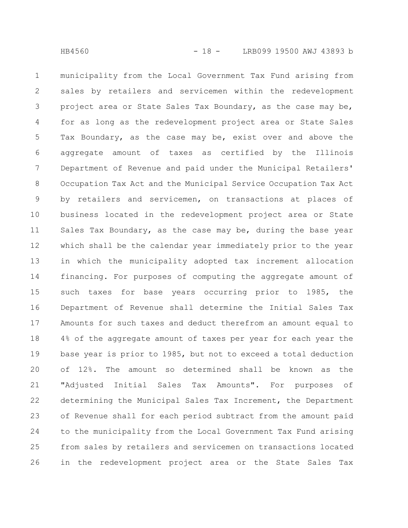municipality from the Local Government Tax Fund arising from sales by retailers and servicemen within the redevelopment project area or State Sales Tax Boundary, as the case may be, for as long as the redevelopment project area or State Sales Tax Boundary, as the case may be, exist over and above the aggregate amount of taxes as certified by the Illinois Department of Revenue and paid under the Municipal Retailers' Occupation Tax Act and the Municipal Service Occupation Tax Act by retailers and servicemen, on transactions at places of business located in the redevelopment project area or State Sales Tax Boundary, as the case may be, during the base year which shall be the calendar year immediately prior to the year in which the municipality adopted tax increment allocation financing. For purposes of computing the aggregate amount of such taxes for base years occurring prior to 1985, the Department of Revenue shall determine the Initial Sales Tax Amounts for such taxes and deduct therefrom an amount equal to 4% of the aggregate amount of taxes per year for each year the base year is prior to 1985, but not to exceed a total deduction of 12%. The amount so determined shall be known as the "Adjusted Initial Sales Tax Amounts". For purposes of determining the Municipal Sales Tax Increment, the Department of Revenue shall for each period subtract from the amount paid to the municipality from the Local Government Tax Fund arising from sales by retailers and servicemen on transactions located in the redevelopment project area or the State Sales Tax 1 2 3 4 5 6 7 8 9 10 11 12 13 14 15 16 17 18 19 20 21 22 23 24 25 26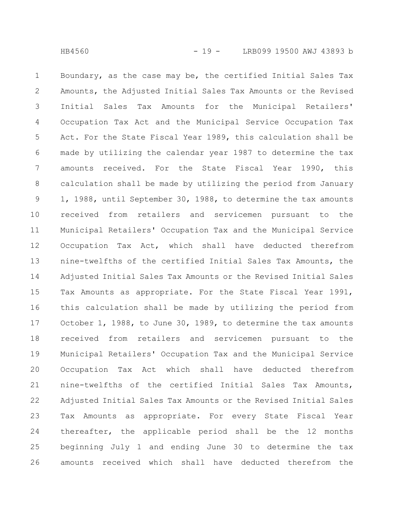Boundary, as the case may be, the certified Initial Sales Tax Amounts, the Adjusted Initial Sales Tax Amounts or the Revised Initial Sales Tax Amounts for the Municipal Retailers' Occupation Tax Act and the Municipal Service Occupation Tax Act. For the State Fiscal Year 1989, this calculation shall be made by utilizing the calendar year 1987 to determine the tax amounts received. For the State Fiscal Year 1990, this calculation shall be made by utilizing the period from January 1, 1988, until September 30, 1988, to determine the tax amounts received from retailers and servicemen pursuant to the Municipal Retailers' Occupation Tax and the Municipal Service Occupation Tax Act, which shall have deducted therefrom nine-twelfths of the certified Initial Sales Tax Amounts, the Adjusted Initial Sales Tax Amounts or the Revised Initial Sales Tax Amounts as appropriate. For the State Fiscal Year 1991, this calculation shall be made by utilizing the period from October 1, 1988, to June 30, 1989, to determine the tax amounts received from retailers and servicemen pursuant to the Municipal Retailers' Occupation Tax and the Municipal Service Occupation Tax Act which shall have deducted therefrom nine-twelfths of the certified Initial Sales Tax Amounts, Adjusted Initial Sales Tax Amounts or the Revised Initial Sales Tax Amounts as appropriate. For every State Fiscal Year thereafter, the applicable period shall be the 12 months beginning July 1 and ending June 30 to determine the tax amounts received which shall have deducted therefrom the 1 2 3 4 5 6 7 8 9 10 11 12 13 14 15 16 17 18 19 20 21 22 23 24 25 26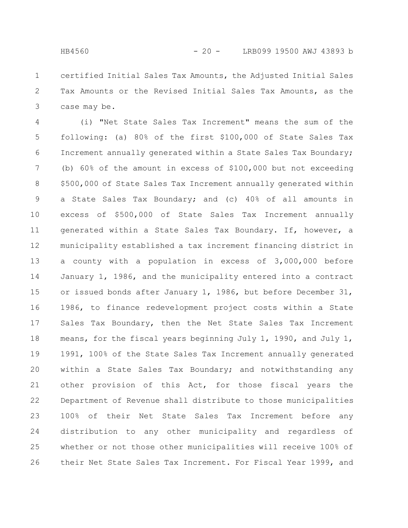certified Initial Sales Tax Amounts, the Adjusted Initial Sales Tax Amounts or the Revised Initial Sales Tax Amounts, as the case may be. 1 2 3

(i) "Net State Sales Tax Increment" means the sum of the following: (a) 80% of the first \$100,000 of State Sales Tax Increment annually generated within a State Sales Tax Boundary; (b) 60% of the amount in excess of \$100,000 but not exceeding \$500,000 of State Sales Tax Increment annually generated within a State Sales Tax Boundary; and (c) 40% of all amounts in excess of \$500,000 of State Sales Tax Increment annually generated within a State Sales Tax Boundary. If, however, a municipality established a tax increment financing district in a county with a population in excess of 3,000,000 before January 1, 1986, and the municipality entered into a contract or issued bonds after January 1, 1986, but before December 31, 1986, to finance redevelopment project costs within a State Sales Tax Boundary, then the Net State Sales Tax Increment means, for the fiscal years beginning July 1, 1990, and July 1, 1991, 100% of the State Sales Tax Increment annually generated within a State Sales Tax Boundary; and notwithstanding any other provision of this Act, for those fiscal years the Department of Revenue shall distribute to those municipalities 100% of their Net State Sales Tax Increment before any distribution to any other municipality and regardless of whether or not those other municipalities will receive 100% of their Net State Sales Tax Increment. For Fiscal Year 1999, and 4 5 6 7 8 9 10 11 12 13 14 15 16 17 18 19 20 21 22 23 24 25 26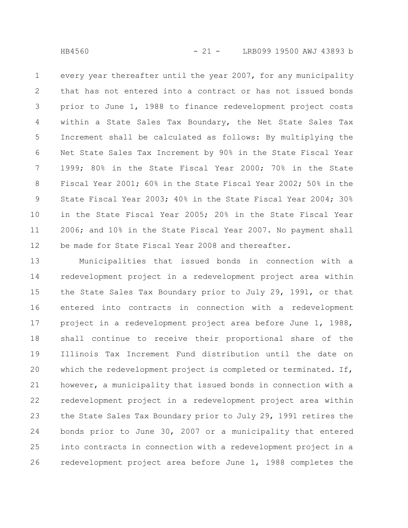every year thereafter until the year 2007, for any municipality that has not entered into a contract or has not issued bonds prior to June 1, 1988 to finance redevelopment project costs within a State Sales Tax Boundary, the Net State Sales Tax Increment shall be calculated as follows: By multiplying the Net State Sales Tax Increment by 90% in the State Fiscal Year 1999; 80% in the State Fiscal Year 2000; 70% in the State Fiscal Year 2001; 60% in the State Fiscal Year 2002; 50% in the State Fiscal Year 2003; 40% in the State Fiscal Year 2004; 30% in the State Fiscal Year 2005; 20% in the State Fiscal Year 2006; and 10% in the State Fiscal Year 2007. No payment shall be made for State Fiscal Year 2008 and thereafter. 1 2 3 4 5 6 7 8 9 10 11 12

Municipalities that issued bonds in connection with a redevelopment project in a redevelopment project area within the State Sales Tax Boundary prior to July 29, 1991, or that entered into contracts in connection with a redevelopment project in a redevelopment project area before June 1, 1988, shall continue to receive their proportional share of the Illinois Tax Increment Fund distribution until the date on which the redevelopment project is completed or terminated. If, however, a municipality that issued bonds in connection with a redevelopment project in a redevelopment project area within the State Sales Tax Boundary prior to July 29, 1991 retires the bonds prior to June 30, 2007 or a municipality that entered into contracts in connection with a redevelopment project in a redevelopment project area before June 1, 1988 completes the 13 14 15 16 17 18 19 20 21 22 23 24 25 26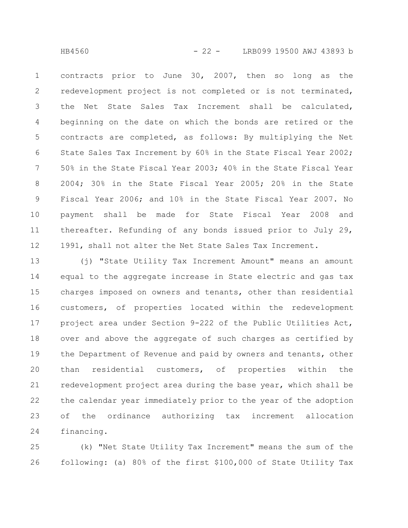HB4560 - 22 - LRB099 19500 AWJ 43893 b

contracts prior to June 30, 2007, then so long as the redevelopment project is not completed or is not terminated, the Net State Sales Tax Increment shall be calculated, beginning on the date on which the bonds are retired or the contracts are completed, as follows: By multiplying the Net State Sales Tax Increment by 60% in the State Fiscal Year 2002; 50% in the State Fiscal Year 2003; 40% in the State Fiscal Year 2004; 30% in the State Fiscal Year 2005; 20% in the State Fiscal Year 2006; and 10% in the State Fiscal Year 2007. No payment shall be made for State Fiscal Year 2008 and thereafter. Refunding of any bonds issued prior to July 29, 1991, shall not alter the Net State Sales Tax Increment. 1 2 3 4 5 6 7 8 9 10 11 12

(j) "State Utility Tax Increment Amount" means an amount equal to the aggregate increase in State electric and gas tax charges imposed on owners and tenants, other than residential customers, of properties located within the redevelopment project area under Section 9-222 of the Public Utilities Act, over and above the aggregate of such charges as certified by the Department of Revenue and paid by owners and tenants, other than residential customers, of properties within the redevelopment project area during the base year, which shall be the calendar year immediately prior to the year of the adoption of the ordinance authorizing tax increment allocation financing. 13 14 15 16 17 18 19 20 21 22 23 24

(k) "Net State Utility Tax Increment" means the sum of the following: (a) 80% of the first \$100,000 of State Utility Tax 25 26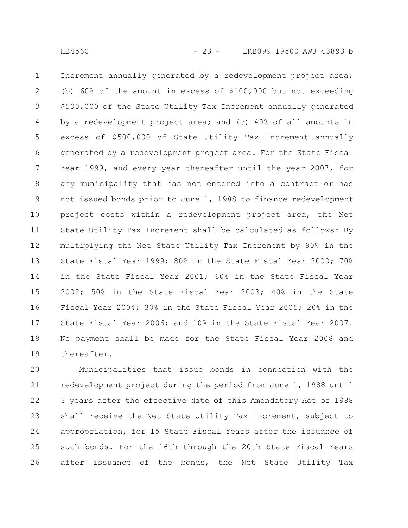Increment annually generated by a redevelopment project area; (b) 60% of the amount in excess of \$100,000 but not exceeding \$500,000 of the State Utility Tax Increment annually generated by a redevelopment project area; and (c) 40% of all amounts in excess of \$500,000 of State Utility Tax Increment annually generated by a redevelopment project area. For the State Fiscal Year 1999, and every year thereafter until the year 2007, for any municipality that has not entered into a contract or has not issued bonds prior to June 1, 1988 to finance redevelopment project costs within a redevelopment project area, the Net State Utility Tax Increment shall be calculated as follows: By multiplying the Net State Utility Tax Increment by 90% in the State Fiscal Year 1999; 80% in the State Fiscal Year 2000; 70% in the State Fiscal Year 2001; 60% in the State Fiscal Year 2002; 50% in the State Fiscal Year 2003; 40% in the State Fiscal Year 2004; 30% in the State Fiscal Year 2005; 20% in the State Fiscal Year 2006; and 10% in the State Fiscal Year 2007. No payment shall be made for the State Fiscal Year 2008 and thereafter. 1 2 3 4 5 6 7 8 9 10 11 12 13 14 15 16 17 18 19

Municipalities that issue bonds in connection with the redevelopment project during the period from June 1, 1988 until 3 years after the effective date of this Amendatory Act of 1988 shall receive the Net State Utility Tax Increment, subject to appropriation, for 15 State Fiscal Years after the issuance of such bonds. For the 16th through the 20th State Fiscal Years after issuance of the bonds, the Net State Utility Tax 20 21 22 23 24 25 26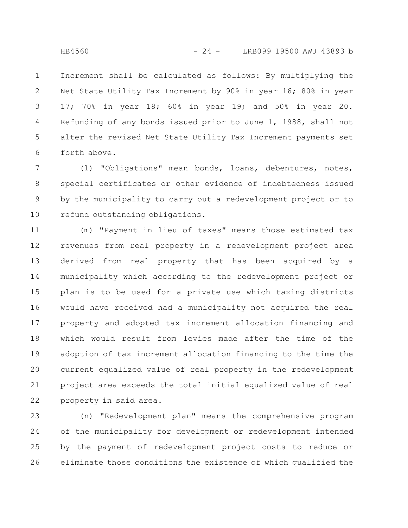Increment shall be calculated as follows: By multiplying the Net State Utility Tax Increment by 90% in year 16; 80% in year 17; 70% in year 18; 60% in year 19; and 50% in year 20. Refunding of any bonds issued prior to June 1, 1988, shall not alter the revised Net State Utility Tax Increment payments set forth above. 1 2 3 4 5 6

(l) "Obligations" mean bonds, loans, debentures, notes, special certificates or other evidence of indebtedness issued by the municipality to carry out a redevelopment project or to refund outstanding obligations. 7 8 9 10

(m) "Payment in lieu of taxes" means those estimated tax revenues from real property in a redevelopment project area derived from real property that has been acquired by a municipality which according to the redevelopment project or plan is to be used for a private use which taxing districts would have received had a municipality not acquired the real property and adopted tax increment allocation financing and which would result from levies made after the time of the adoption of tax increment allocation financing to the time the current equalized value of real property in the redevelopment project area exceeds the total initial equalized value of real property in said area. 11 12 13 14 15 16 17 18 19 20 21 22

(n) "Redevelopment plan" means the comprehensive program of the municipality for development or redevelopment intended by the payment of redevelopment project costs to reduce or eliminate those conditions the existence of which qualified the 23 24 25 26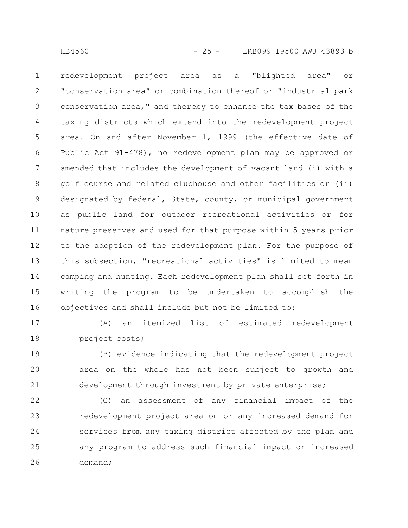redevelopment project area as a "blighted area" or "conservation area" or combination thereof or "industrial park conservation area," and thereby to enhance the tax bases of the taxing districts which extend into the redevelopment project area. On and after November 1, 1999 (the effective date of Public Act 91-478), no redevelopment plan may be approved or amended that includes the development of vacant land (i) with a golf course and related clubhouse and other facilities or (ii) designated by federal, State, county, or municipal government as public land for outdoor recreational activities or for nature preserves and used for that purpose within 5 years prior to the adoption of the redevelopment plan. For the purpose of this subsection, "recreational activities" is limited to mean camping and hunting. Each redevelopment plan shall set forth in writing the program to be undertaken to accomplish the objectives and shall include but not be limited to: 1 2 3 4 5 6 7 8 9 10 11 12 13 14 15 16

17

(A) an itemized list of estimated redevelopment project costs; 18

(B) evidence indicating that the redevelopment project area on the whole has not been subject to growth and development through investment by private enterprise; 19 20 21

(C) an assessment of any financial impact of the redevelopment project area on or any increased demand for services from any taxing district affected by the plan and any program to address such financial impact or increased demand; 22 23 24 25 26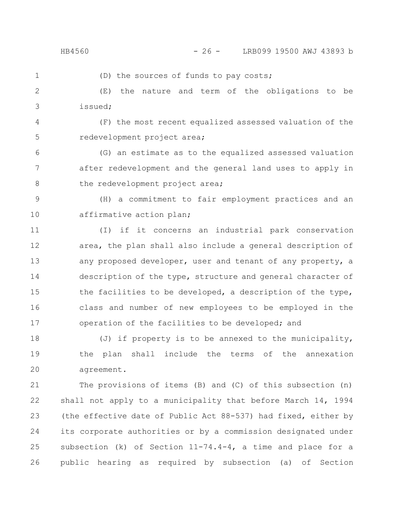1

(D) the sources of funds to pay costs;

(E) the nature and term of the obligations to be issued; 2 3

(F) the most recent equalized assessed valuation of the redevelopment project area; 4 5

(G) an estimate as to the equalized assessed valuation after redevelopment and the general land uses to apply in the redevelopment project area; 6 7 8

(H) a commitment to fair employment practices and an affirmative action plan; 9 10

(I) if it concerns an industrial park conservation area, the plan shall also include a general description of any proposed developer, user and tenant of any property, a description of the type, structure and general character of the facilities to be developed, a description of the type, class and number of new employees to be employed in the operation of the facilities to be developed; and 11 12 13 14 15 16 17

(J) if property is to be annexed to the municipality, the plan shall include the terms of the annexation agreement. 18 19 20

The provisions of items (B) and (C) of this subsection (n) shall not apply to a municipality that before March 14, 1994 (the effective date of Public Act 88-537) had fixed, either by its corporate authorities or by a commission designated under subsection (k) of Section 11-74.4-4, a time and place for a public hearing as required by subsection (a) of Section 21 22 23 24 25 26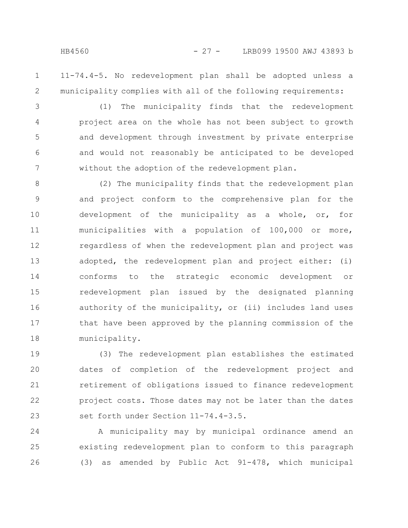1

2

11-74.4-5. No redevelopment plan shall be adopted unless a municipality complies with all of the following requirements:

(1) The municipality finds that the redevelopment project area on the whole has not been subject to growth and development through investment by private enterprise and would not reasonably be anticipated to be developed without the adoption of the redevelopment plan. 3 4 5 6 7

(2) The municipality finds that the redevelopment plan and project conform to the comprehensive plan for the development of the municipality as a whole, or, for municipalities with a population of 100,000 or more, regardless of when the redevelopment plan and project was adopted, the redevelopment plan and project either: (i) conforms to the strategic economic development or redevelopment plan issued by the designated planning authority of the municipality, or (ii) includes land uses that have been approved by the planning commission of the municipality. 8 9 10 11 12 13 14 15 16 17 18

(3) The redevelopment plan establishes the estimated dates of completion of the redevelopment project and retirement of obligations issued to finance redevelopment project costs. Those dates may not be later than the dates set forth under Section 11-74.4-3.5. 19 20 21 22 23

A municipality may by municipal ordinance amend an existing redevelopment plan to conform to this paragraph (3) as amended by Public Act 91-478, which municipal 24 25 26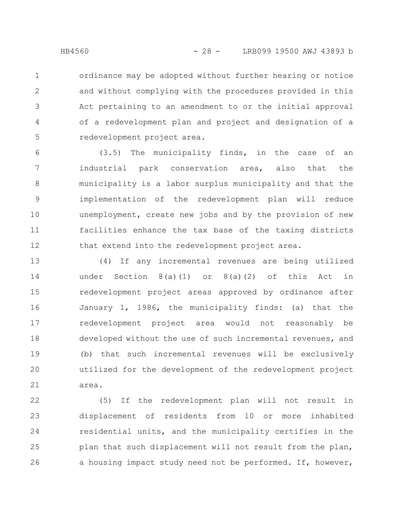ordinance may be adopted without further hearing or notice and without complying with the procedures provided in this Act pertaining to an amendment to or the initial approval of a redevelopment plan and project and designation of a redevelopment project area. 1 2 3 4 5

(3.5) The municipality finds, in the case of an industrial park conservation area, also that the municipality is a labor surplus municipality and that the implementation of the redevelopment plan will reduce unemployment, create new jobs and by the provision of new facilities enhance the tax base of the taxing districts that extend into the redevelopment project area. 6 7 8 9 10 11 12

(4) If any incremental revenues are being utilized under Section 8(a)(1) or 8(a)(2) of this Act in redevelopment project areas approved by ordinance after January 1, 1986, the municipality finds: (a) that the redevelopment project area would not reasonably be developed without the use of such incremental revenues, and (b) that such incremental revenues will be exclusively utilized for the development of the redevelopment project area. 13 14 15 16 17 18 19 20 21

(5) If the redevelopment plan will not result in displacement of residents from 10 or more inhabited residential units, and the municipality certifies in the plan that such displacement will not result from the plan, a housing impact study need not be performed. If, however, 22 23 24 25 26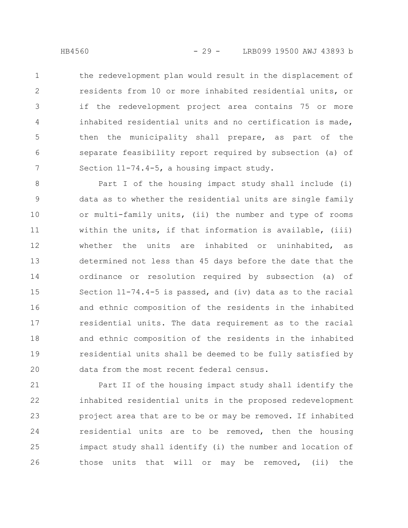the redevelopment plan would result in the displacement of residents from 10 or more inhabited residential units, or if the redevelopment project area contains 75 or more inhabited residential units and no certification is made, then the municipality shall prepare, as part of the separate feasibility report required by subsection (a) of Section 11-74.4-5, a housing impact study. 1 2 3 4 5 6 7

Part I of the housing impact study shall include (i) data as to whether the residential units are single family or multi-family units, (ii) the number and type of rooms within the units, if that information is available, (iii) whether the units are inhabited or uninhabited, as determined not less than 45 days before the date that the ordinance or resolution required by subsection (a) of Section 11-74.4-5 is passed, and (iv) data as to the racial and ethnic composition of the residents in the inhabited residential units. The data requirement as to the racial and ethnic composition of the residents in the inhabited residential units shall be deemed to be fully satisfied by data from the most recent federal census. 8 9 10 11 12 13 14 15 16 17 18 19 20

Part II of the housing impact study shall identify the inhabited residential units in the proposed redevelopment project area that are to be or may be removed. If inhabited residential units are to be removed, then the housing impact study shall identify (i) the number and location of those units that will or may be removed, (ii) the 21 22 23 24 25 26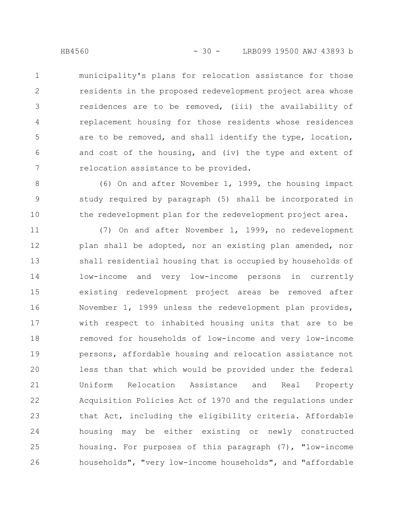municipality's plans for relocation assistance for those residents in the proposed redevelopment project area whose residences are to be removed, (iii) the availability of replacement housing for those residents whose residences are to be removed, and shall identify the type, location, and cost of the housing, and (iv) the type and extent of relocation assistance to be provided. 1 2 3 4 5 6 7

(6) On and after November 1, 1999, the housing impact study required by paragraph (5) shall be incorporated in the redevelopment plan for the redevelopment project area. 8 9 10

(7) On and after November 1, 1999, no redevelopment plan shall be adopted, nor an existing plan amended, nor shall residential housing that is occupied by households of low-income and very low-income persons in currently existing redevelopment project areas be removed after November 1, 1999 unless the redevelopment plan provides, with respect to inhabited housing units that are to be removed for households of low-income and very low-income persons, affordable housing and relocation assistance not less than that which would be provided under the federal Uniform Relocation Assistance and Real Property Acquisition Policies Act of 1970 and the regulations under that Act, including the eligibility criteria. Affordable housing may be either existing or newly constructed housing. For purposes of this paragraph (7), "low-income households", "very low-income households", and "affordable 11 12 13 14 15 16 17 18 19 20 21 22 23 24 25 26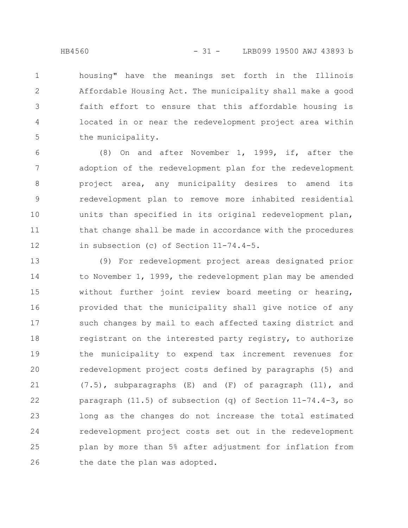housing" have the meanings set forth in the Illinois Affordable Housing Act. The municipality shall make a good faith effort to ensure that this affordable housing is located in or near the redevelopment project area within the municipality. 1 2 3 4 5

(8) On and after November 1, 1999, if, after the adoption of the redevelopment plan for the redevelopment project area, any municipality desires to amend its redevelopment plan to remove more inhabited residential units than specified in its original redevelopment plan, that change shall be made in accordance with the procedures in subsection (c) of Section 11-74.4-5. 6 7 8 9 10 11 12

(9) For redevelopment project areas designated prior to November 1, 1999, the redevelopment plan may be amended without further joint review board meeting or hearing, provided that the municipality shall give notice of any such changes by mail to each affected taxing district and registrant on the interested party registry, to authorize the municipality to expend tax increment revenues for redevelopment project costs defined by paragraphs (5) and (7.5), subparagraphs (E) and (F) of paragraph (11), and paragraph (11.5) of subsection (q) of Section 11-74.4-3, so long as the changes do not increase the total estimated redevelopment project costs set out in the redevelopment plan by more than 5% after adjustment for inflation from the date the plan was adopted. 13 14 15 16 17 18 19 20 21 22 23 24 25 26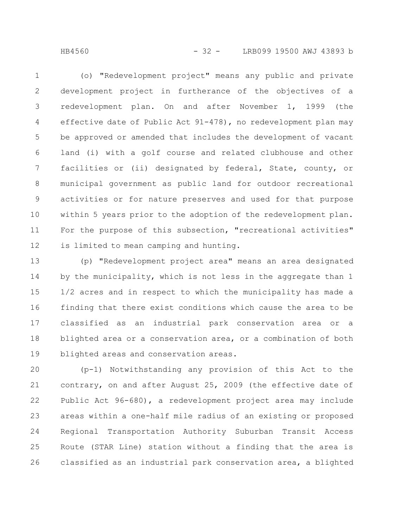HB4560 - 32 - LRB099 19500 AWJ 43893 b

(o) "Redevelopment project" means any public and private development project in furtherance of the objectives of a redevelopment plan. On and after November 1, 1999 (the effective date of Public Act 91-478), no redevelopment plan may be approved or amended that includes the development of vacant land (i) with a golf course and related clubhouse and other facilities or (ii) designated by federal, State, county, or municipal government as public land for outdoor recreational activities or for nature preserves and used for that purpose within 5 years prior to the adoption of the redevelopment plan. For the purpose of this subsection, "recreational activities" is limited to mean camping and hunting. 1 2 3 4 5 6 7 8 9 10 11 12

(p) "Redevelopment project area" means an area designated by the municipality, which is not less in the aggregate than 1 1/2 acres and in respect to which the municipality has made a finding that there exist conditions which cause the area to be classified as an industrial park conservation area or a blighted area or a conservation area, or a combination of both blighted areas and conservation areas. 13 14 15 16 17 18 19

(p-1) Notwithstanding any provision of this Act to the contrary, on and after August 25, 2009 (the effective date of Public Act 96-680), a redevelopment project area may include areas within a one-half mile radius of an existing or proposed Regional Transportation Authority Suburban Transit Access Route (STAR Line) station without a finding that the area is classified as an industrial park conservation area, a blighted 20 21 22 23 24 25 26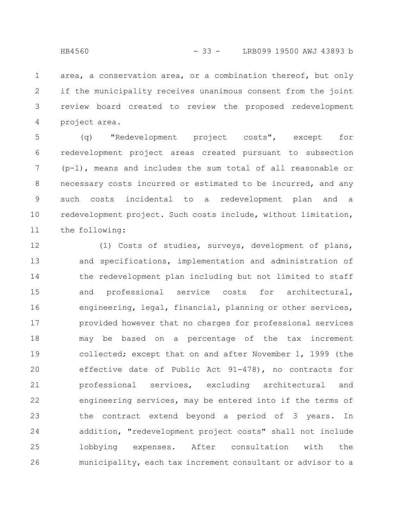area, a conservation area, or a combination thereof, but only if the municipality receives unanimous consent from the joint review board created to review the proposed redevelopment project area. 1 2 3 4

(q) "Redevelopment project costs", except for redevelopment project areas created pursuant to subsection (p-1), means and includes the sum total of all reasonable or necessary costs incurred or estimated to be incurred, and any such costs incidental to a redevelopment plan and a redevelopment project. Such costs include, without limitation, the following: 5 6 7 8 9 10 11

(1) Costs of studies, surveys, development of plans, and specifications, implementation and administration of the redevelopment plan including but not limited to staff and professional service costs for architectural, engineering, legal, financial, planning or other services, provided however that no charges for professional services may be based on a percentage of the tax increment collected; except that on and after November 1, 1999 (the effective date of Public Act 91-478), no contracts for professional services, excluding architectural and engineering services, may be entered into if the terms of the contract extend beyond a period of 3 years. In addition, "redevelopment project costs" shall not include lobbying expenses. After consultation with the municipality, each tax increment consultant or advisor to a 12 13 14 15 16 17 18 19 20 21 22 23 24 25 26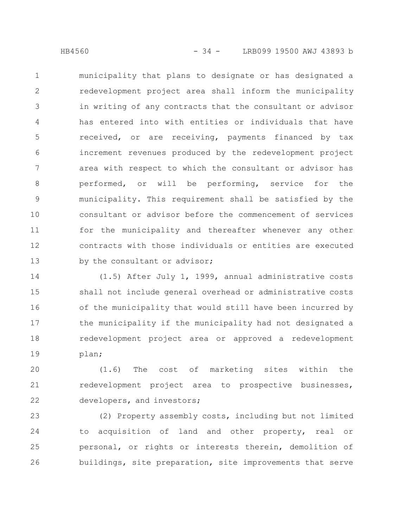municipality that plans to designate or has designated a redevelopment project area shall inform the municipality in writing of any contracts that the consultant or advisor has entered into with entities or individuals that have received, or are receiving, payments financed by tax increment revenues produced by the redevelopment project area with respect to which the consultant or advisor has performed, or will be performing, service for the municipality. This requirement shall be satisfied by the consultant or advisor before the commencement of services for the municipality and thereafter whenever any other contracts with those individuals or entities are executed by the consultant or advisor; 1 2 3 4 5 6 7 8 9 10 11 12 13

(1.5) After July 1, 1999, annual administrative costs shall not include general overhead or administrative costs of the municipality that would still have been incurred by the municipality if the municipality had not designated a redevelopment project area or approved a redevelopment plan; 14 15 16 17 18 19

(1.6) The cost of marketing sites within the redevelopment project area to prospective businesses, developers, and investors; 20 21 22

(2) Property assembly costs, including but not limited to acquisition of land and other property, real or personal, or rights or interests therein, demolition of buildings, site preparation, site improvements that serve 23 24 25 26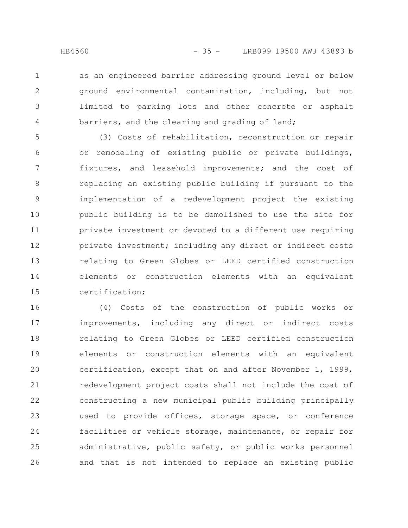as an engineered barrier addressing ground level or below ground environmental contamination, including, but not limited to parking lots and other concrete or asphalt barriers, and the clearing and grading of land; 1 2 3 4

(3) Costs of rehabilitation, reconstruction or repair or remodeling of existing public or private buildings, fixtures, and leasehold improvements; and the cost of replacing an existing public building if pursuant to the implementation of a redevelopment project the existing public building is to be demolished to use the site for private investment or devoted to a different use requiring private investment; including any direct or indirect costs relating to Green Globes or LEED certified construction elements or construction elements with an equivalent certification; 5 6 7 8 9 10 11 12 13 14 15

(4) Costs of the construction of public works or improvements, including any direct or indirect costs relating to Green Globes or LEED certified construction elements or construction elements with an equivalent certification, except that on and after November 1, 1999, redevelopment project costs shall not include the cost of constructing a new municipal public building principally used to provide offices, storage space, or conference facilities or vehicle storage, maintenance, or repair for administrative, public safety, or public works personnel and that is not intended to replace an existing public 16 17 18 19 20 21 22 23 24 25 26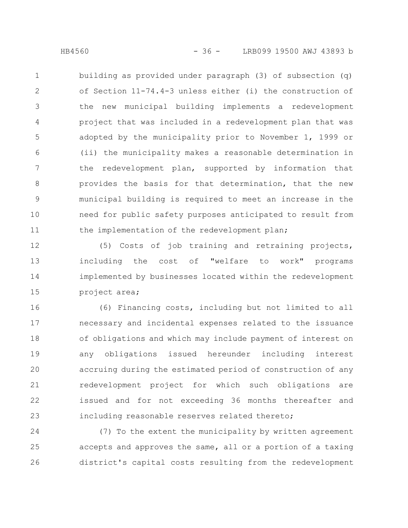building as provided under paragraph (3) of subsection (q) of Section 11-74.4-3 unless either (i) the construction of the new municipal building implements a redevelopment project that was included in a redevelopment plan that was adopted by the municipality prior to November 1, 1999 or (ii) the municipality makes a reasonable determination in the redevelopment plan, supported by information that provides the basis for that determination, that the new municipal building is required to meet an increase in the need for public safety purposes anticipated to result from the implementation of the redevelopment plan; 1 2 3 4 5 6 7 8 9 10 11

(5) Costs of job training and retraining projects, including the cost of "welfare to work" programs implemented by businesses located within the redevelopment project area; 12 13 14 15

(6) Financing costs, including but not limited to all necessary and incidental expenses related to the issuance of obligations and which may include payment of interest on any obligations issued hereunder including interest accruing during the estimated period of construction of any redevelopment project for which such obligations are issued and for not exceeding 36 months thereafter and including reasonable reserves related thereto; 16 17 18 19 20 21 22 23

(7) To the extent the municipality by written agreement accepts and approves the same, all or a portion of a taxing district's capital costs resulting from the redevelopment 24 25 26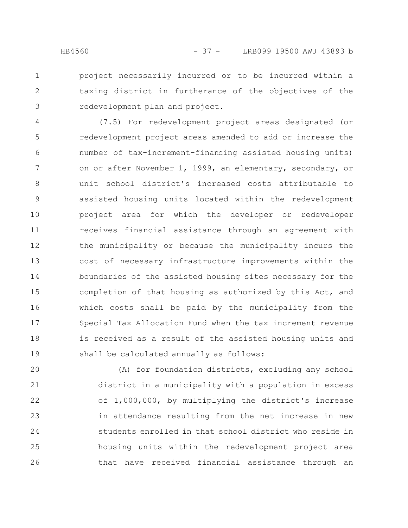3

project necessarily incurred or to be incurred within a taxing district in furtherance of the objectives of the redevelopment plan and project.

(7.5) For redevelopment project areas designated (or redevelopment project areas amended to add or increase the number of tax-increment-financing assisted housing units) on or after November 1, 1999, an elementary, secondary, or unit school district's increased costs attributable to assisted housing units located within the redevelopment project area for which the developer or redeveloper receives financial assistance through an agreement with the municipality or because the municipality incurs the cost of necessary infrastructure improvements within the boundaries of the assisted housing sites necessary for the completion of that housing as authorized by this Act, and which costs shall be paid by the municipality from the Special Tax Allocation Fund when the tax increment revenue is received as a result of the assisted housing units and shall be calculated annually as follows: 4 5 6 7 8 9 10 11 12 13 14 15 16 17 18 19

(A) for foundation districts, excluding any school district in a municipality with a population in excess of 1,000,000, by multiplying the district's increase in attendance resulting from the net increase in new students enrolled in that school district who reside in housing units within the redevelopment project area that have received financial assistance through an 20 21 22 23 24 25 26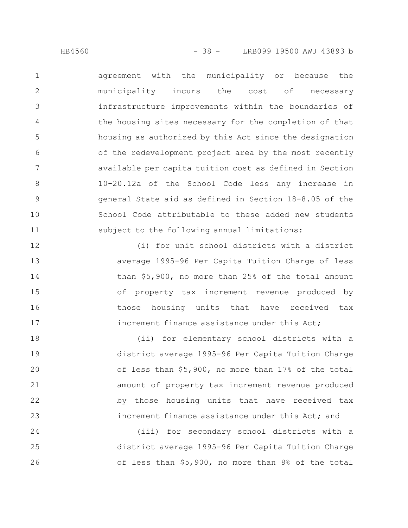agreement with the municipality or because the municipality incurs the cost of necessary infrastructure improvements within the boundaries of the housing sites necessary for the completion of that housing as authorized by this Act since the designation of the redevelopment project area by the most recently available per capita tuition cost as defined in Section 10-20.12a of the School Code less any increase in general State aid as defined in Section 18-8.05 of the School Code attributable to these added new students subject to the following annual limitations: 1 2 3 4 5 6 7 8 9 10 11

(i) for unit school districts with a district average 1995-96 Per Capita Tuition Charge of less than \$5,900, no more than 25% of the total amount of property tax increment revenue produced by those housing units that have received tax increment finance assistance under this Act; 12 13 14 15 16 17

(ii) for elementary school districts with a district average 1995-96 Per Capita Tuition Charge of less than \$5,900, no more than 17% of the total amount of property tax increment revenue produced by those housing units that have received tax increment finance assistance under this Act; and 18 19 20 21 22 23

(iii) for secondary school districts with a district average 1995-96 Per Capita Tuition Charge of less than \$5,900, no more than 8% of the total 24 25 26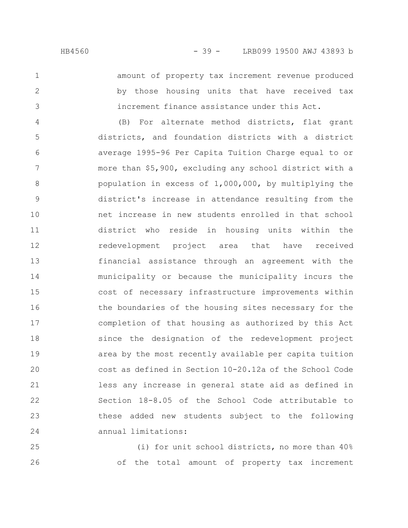2

3

amount of property tax increment revenue produced by those housing units that have received tax increment finance assistance under this Act.

(B) For alternate method districts, flat grant districts, and foundation districts with a district average 1995-96 Per Capita Tuition Charge equal to or more than \$5,900, excluding any school district with a population in excess of 1,000,000, by multiplying the district's increase in attendance resulting from the net increase in new students enrolled in that school district who reside in housing units within the redevelopment project area that have received financial assistance through an agreement with the municipality or because the municipality incurs the cost of necessary infrastructure improvements within the boundaries of the housing sites necessary for the completion of that housing as authorized by this Act since the designation of the redevelopment project area by the most recently available per capita tuition cost as defined in Section 10-20.12a of the School Code less any increase in general state aid as defined in Section 18-8.05 of the School Code attributable to these added new students subject to the following annual limitations: 4 5 6 7 8 9 10 11 12 13 14 15 16 17 18 19 20 21 22 23 24

(i) for unit school districts, no more than 40% of the total amount of property tax increment 25 26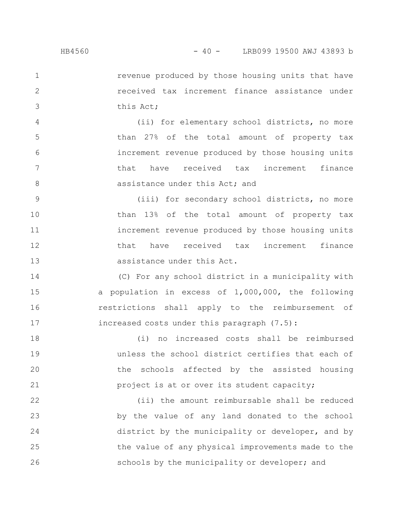2

3

revenue produced by those housing units that have received tax increment finance assistance under this Act;

(ii) for elementary school districts, no more than 27% of the total amount of property tax increment revenue produced by those housing units that have received tax increment finance assistance under this Act; and 4 5 6 7 8

(iii) for secondary school districts, no more than 13% of the total amount of property tax increment revenue produced by those housing units that have received tax increment finance assistance under this Act. 9 10 11 12 13

(C) For any school district in a municipality with a population in excess of 1,000,000, the following restrictions shall apply to the reimbursement of increased costs under this paragraph (7.5): 14 15 16 17

(i) no increased costs shall be reimbursed unless the school district certifies that each of the schools affected by the assisted housing project is at or over its student capacity; 18 19 20 21

(ii) the amount reimbursable shall be reduced by the value of any land donated to the school district by the municipality or developer, and by the value of any physical improvements made to the schools by the municipality or developer; and 22 23 24 25 26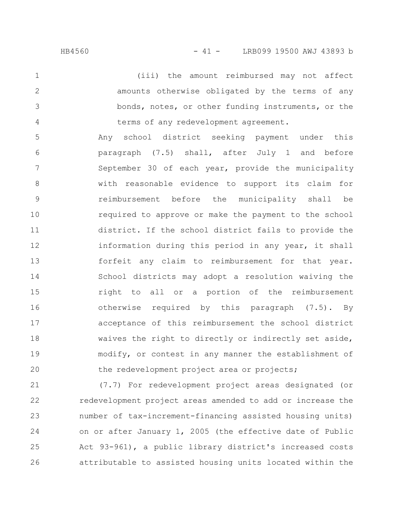(iii) the amount reimbursed may not affect amounts otherwise obligated by the terms of any bonds, notes, or other funding instruments, or the terms of any redevelopment agreement. 1 2 3 4

Any school district seeking payment under this paragraph (7.5) shall, after July 1 and before September 30 of each year, provide the municipality with reasonable evidence to support its claim for reimbursement before the municipality shall be required to approve or make the payment to the school district. If the school district fails to provide the information during this period in any year, it shall forfeit any claim to reimbursement for that year. School districts may adopt a resolution waiving the right to all or a portion of the reimbursement otherwise required by this paragraph (7.5). By acceptance of this reimbursement the school district waives the right to directly or indirectly set aside, modify, or contest in any manner the establishment of the redevelopment project area or projects; 5 6 7 8 9 10 11 12 13 14 15 16 17 18 19 20

(7.7) For redevelopment project areas designated (or redevelopment project areas amended to add or increase the number of tax-increment-financing assisted housing units) on or after January 1, 2005 (the effective date of Public Act 93-961), a public library district's increased costs attributable to assisted housing units located within the 21 22 23 24 25 26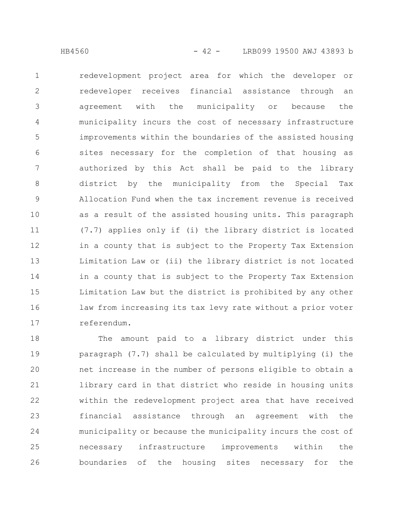redevelopment project area for which the developer or redeveloper receives financial assistance through an agreement with the municipality or because the municipality incurs the cost of necessary infrastructure improvements within the boundaries of the assisted housing sites necessary for the completion of that housing as authorized by this Act shall be paid to the library district by the municipality from the Special Tax Allocation Fund when the tax increment revenue is received as a result of the assisted housing units. This paragraph (7.7) applies only if (i) the library district is located in a county that is subject to the Property Tax Extension Limitation Law or (ii) the library district is not located in a county that is subject to the Property Tax Extension Limitation Law but the district is prohibited by any other law from increasing its tax levy rate without a prior voter referendum. 1 2 3 4 5 6 7 8 9 10 11 12 13 14 15 16 17

The amount paid to a library district under this paragraph (7.7) shall be calculated by multiplying (i) the net increase in the number of persons eligible to obtain a library card in that district who reside in housing units within the redevelopment project area that have received financial assistance through an agreement with the municipality or because the municipality incurs the cost of necessary infrastructure improvements within the boundaries of the housing sites necessary for the 18 19 20 21 22 23 24 25 26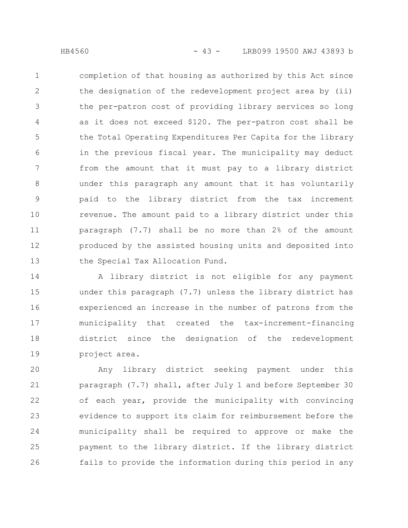completion of that housing as authorized by this Act since the designation of the redevelopment project area by (ii) the per-patron cost of providing library services so long as it does not exceed \$120. The per-patron cost shall be the Total Operating Expenditures Per Capita for the library in the previous fiscal year. The municipality may deduct from the amount that it must pay to a library district under this paragraph any amount that it has voluntarily paid to the library district from the tax increment revenue. The amount paid to a library district under this paragraph (7.7) shall be no more than 2% of the amount produced by the assisted housing units and deposited into the Special Tax Allocation Fund. 1 2 3 4 5 6 7 8 9 10 11 12 13

A library district is not eligible for any payment under this paragraph (7.7) unless the library district has experienced an increase in the number of patrons from the municipality that created the tax-increment-financing district since the designation of the redevelopment project area. 14 15 16 17 18 19

Any library district seeking payment under this paragraph (7.7) shall, after July 1 and before September 30 of each year, provide the municipality with convincing evidence to support its claim for reimbursement before the municipality shall be required to approve or make the payment to the library district. If the library district fails to provide the information during this period in any 20 21 22 23 24 25 26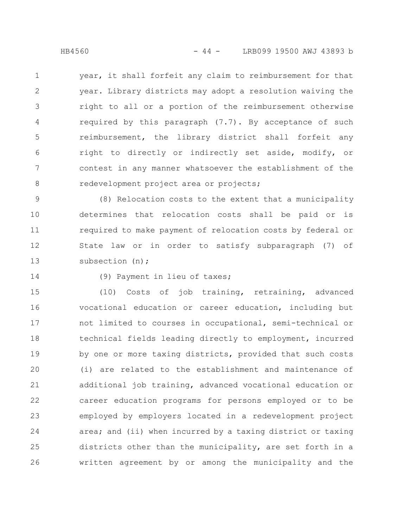year, it shall forfeit any claim to reimbursement for that year. Library districts may adopt a resolution waiving the right to all or a portion of the reimbursement otherwise required by this paragraph (7.7). By acceptance of such reimbursement, the library district shall forfeit any right to directly or indirectly set aside, modify, or contest in any manner whatsoever the establishment of the redevelopment project area or projects; 1 2 3 4 5 6 7 8

(8) Relocation costs to the extent that a municipality determines that relocation costs shall be paid or is required to make payment of relocation costs by federal or State law or in order to satisfy subparagraph (7) of subsection (n); 9 10 11 12 13

14

## (9) Payment in lieu of taxes;

(10) Costs of job training, retraining, advanced vocational education or career education, including but not limited to courses in occupational, semi-technical or technical fields leading directly to employment, incurred by one or more taxing districts, provided that such costs (i) are related to the establishment and maintenance of additional job training, advanced vocational education or career education programs for persons employed or to be employed by employers located in a redevelopment project area; and (ii) when incurred by a taxing district or taxing districts other than the municipality, are set forth in a written agreement by or among the municipality and the 15 16 17 18 19 20 21 22 23 24 25 26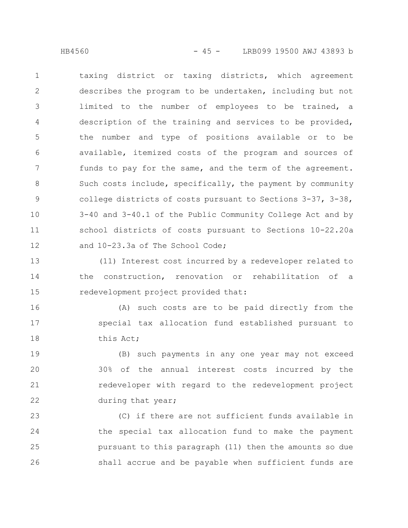taxing district or taxing districts, which agreement describes the program to be undertaken, including but not limited to the number of employees to be trained, a description of the training and services to be provided, the number and type of positions available or to be available, itemized costs of the program and sources of funds to pay for the same, and the term of the agreement. Such costs include, specifically, the payment by community college districts of costs pursuant to Sections 3-37, 3-38, 3-40 and 3-40.1 of the Public Community College Act and by school districts of costs pursuant to Sections 10-22.20a and 10-23.3a of The School Code; 1 2 3 4 5 6 7 8 9 10 11 12

(11) Interest cost incurred by a redeveloper related to the construction, renovation or rehabilitation of a redevelopment project provided that: 13 14 15

(A) such costs are to be paid directly from the special tax allocation fund established pursuant to this Act; 16 17 18

(B) such payments in any one year may not exceed 30% of the annual interest costs incurred by the redeveloper with regard to the redevelopment project during that year; 19 20 21 22

(C) if there are not sufficient funds available in the special tax allocation fund to make the payment pursuant to this paragraph (11) then the amounts so due shall accrue and be payable when sufficient funds are 23 24 25 26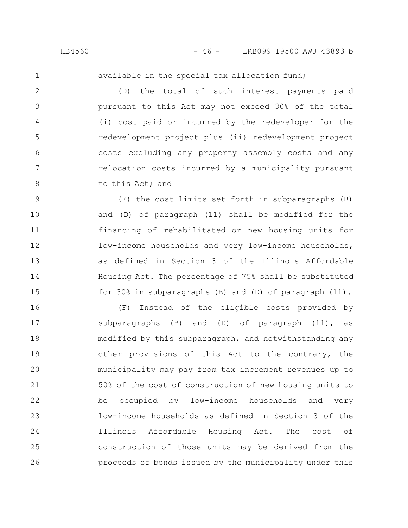available in the special tax allocation fund;

(D) the total of such interest payments paid pursuant to this Act may not exceed 30% of the total (i) cost paid or incurred by the redeveloper for the redevelopment project plus (ii) redevelopment project costs excluding any property assembly costs and any relocation costs incurred by a municipality pursuant to this Act; and 2 3 4 5 6 7 8

(E) the cost limits set forth in subparagraphs (B) and (D) of paragraph (11) shall be modified for the financing of rehabilitated or new housing units for low-income households and very low-income households, as defined in Section 3 of the Illinois Affordable Housing Act. The percentage of 75% shall be substituted for 30% in subparagraphs (B) and (D) of paragraph (11). 9 10 11 12 13 14 15

(F) Instead of the eligible costs provided by subparagraphs (B) and (D) of paragraph (11), as modified by this subparagraph, and notwithstanding any other provisions of this Act to the contrary, the municipality may pay from tax increment revenues up to 50% of the cost of construction of new housing units to be occupied by low-income households and very low-income households as defined in Section 3 of the Illinois Affordable Housing Act. The cost of construction of those units may be derived from the proceeds of bonds issued by the municipality under this 16 17 18 19 20 21 22 23 24 25 26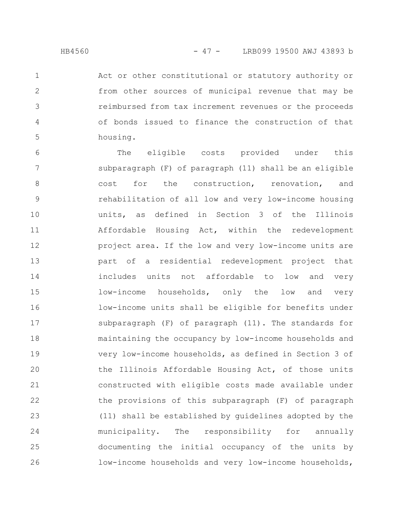2

3

4

5

Act or other constitutional or statutory authority or from other sources of municipal revenue that may be reimbursed from tax increment revenues or the proceeds of bonds issued to finance the construction of that housing.

The eligible costs provided under this subparagraph (F) of paragraph (11) shall be an eligible cost for the construction, renovation, and rehabilitation of all low and very low-income housing units, as defined in Section 3 of the Illinois Affordable Housing Act, within the redevelopment project area. If the low and very low-income units are part of a residential redevelopment project that includes units not affordable to low and very low-income households, only the low and very low-income units shall be eligible for benefits under subparagraph (F) of paragraph (11). The standards for maintaining the occupancy by low-income households and very low-income households, as defined in Section 3 of the Illinois Affordable Housing Act, of those units constructed with eligible costs made available under the provisions of this subparagraph (F) of paragraph (11) shall be established by guidelines adopted by the municipality. The responsibility for annually documenting the initial occupancy of the units by low-income households and very low-income households, 6 7 8 9 10 11 12 13 14 15 16 17 18 19 20 21 22 23 24 25 26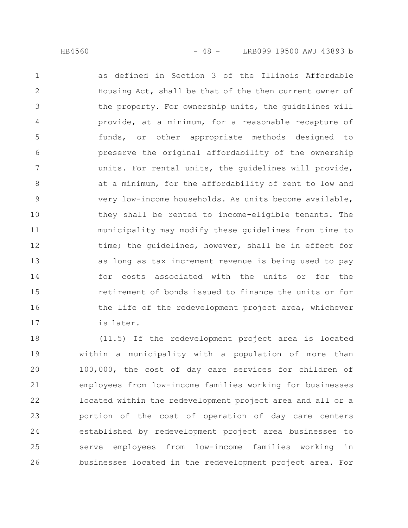as defined in Section 3 of the Illinois Affordable Housing Act, shall be that of the then current owner of the property. For ownership units, the guidelines will provide, at a minimum, for a reasonable recapture of funds, or other appropriate methods designed to preserve the original affordability of the ownership units. For rental units, the guidelines will provide, at a minimum, for the affordability of rent to low and very low-income households. As units become available, they shall be rented to income-eligible tenants. The municipality may modify these guidelines from time to time; the guidelines, however, shall be in effect for as long as tax increment revenue is being used to pay for costs associated with the units or for the retirement of bonds issued to finance the units or for the life of the redevelopment project area, whichever is later. 1 2 3 4 5 6 7 8 9 10 11 12 13 14 15 16 17

(11.5) If the redevelopment project area is located within a municipality with a population of more than 100,000, the cost of day care services for children of employees from low-income families working for businesses located within the redevelopment project area and all or a portion of the cost of operation of day care centers established by redevelopment project area businesses to serve employees from low-income families working in businesses located in the redevelopment project area. For 18 19 20 21 22 23 24 25 26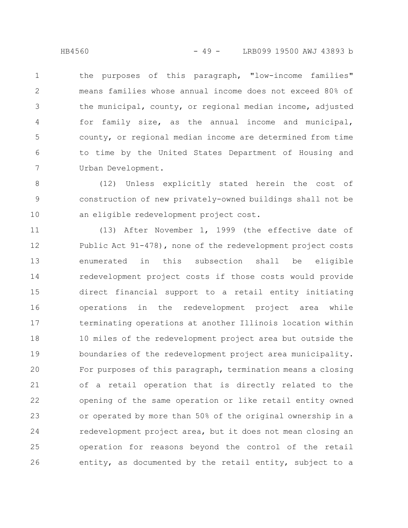the purposes of this paragraph, "low-income families" means families whose annual income does not exceed 80% of the municipal, county, or regional median income, adjusted for family size, as the annual income and municipal, county, or regional median income are determined from time to time by the United States Department of Housing and Urban Development. 1 2 3 4 5 6 7

(12) Unless explicitly stated herein the cost of construction of new privately-owned buildings shall not be an eligible redevelopment project cost. 8 9 10

(13) After November 1, 1999 (the effective date of Public Act 91-478), none of the redevelopment project costs enumerated in this subsection shall be eligible redevelopment project costs if those costs would provide direct financial support to a retail entity initiating operations in the redevelopment project area while terminating operations at another Illinois location within 10 miles of the redevelopment project area but outside the boundaries of the redevelopment project area municipality. For purposes of this paragraph, termination means a closing of a retail operation that is directly related to the opening of the same operation or like retail entity owned or operated by more than 50% of the original ownership in a redevelopment project area, but it does not mean closing an operation for reasons beyond the control of the retail entity, as documented by the retail entity, subject to a 11 12 13 14 15 16 17 18 19 20 21 22 23 24 25 26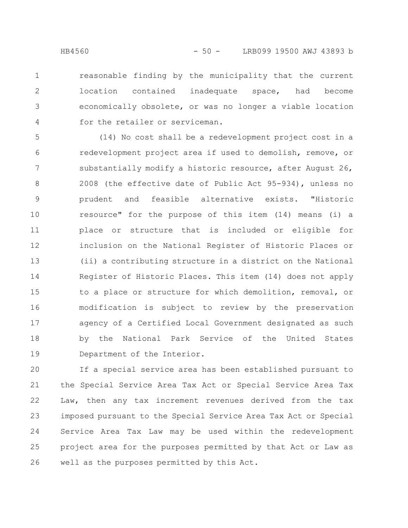reasonable finding by the municipality that the current location contained inadequate space, had become economically obsolete, or was no longer a viable location for the retailer or serviceman. 1 2 3 4

(14) No cost shall be a redevelopment project cost in a redevelopment project area if used to demolish, remove, or substantially modify a historic resource, after August 26, 2008 (the effective date of Public Act 95-934), unless no prudent and feasible alternative exists. "Historic resource" for the purpose of this item (14) means (i) a place or structure that is included or eligible for inclusion on the National Register of Historic Places or (ii) a contributing structure in a district on the National Register of Historic Places. This item (14) does not apply to a place or structure for which demolition, removal, or modification is subject to review by the preservation agency of a Certified Local Government designated as such by the National Park Service of the United States Department of the Interior. 5 6 7 8 9 10 11 12 13 14 15 16 17 18 19

If a special service area has been established pursuant to the Special Service Area Tax Act or Special Service Area Tax Law, then any tax increment revenues derived from the tax imposed pursuant to the Special Service Area Tax Act or Special Service Area Tax Law may be used within the redevelopment project area for the purposes permitted by that Act or Law as well as the purposes permitted by this Act. 20 21 22 23 24 25 26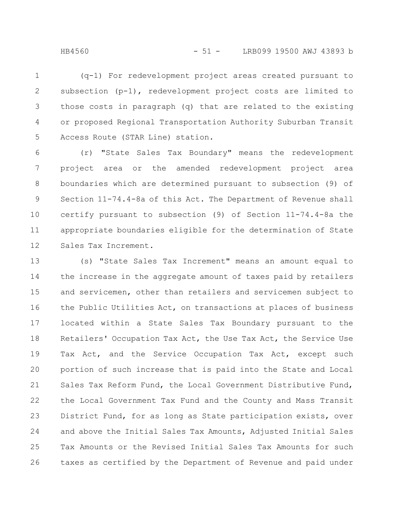(q-1) For redevelopment project areas created pursuant to subsection (p-1), redevelopment project costs are limited to those costs in paragraph (q) that are related to the existing or proposed Regional Transportation Authority Suburban Transit Access Route (STAR Line) station. 1 2 3 4 5

(r) "State Sales Tax Boundary" means the redevelopment project area or the amended redevelopment project area boundaries which are determined pursuant to subsection (9) of Section 11-74.4-8a of this Act. The Department of Revenue shall certify pursuant to subsection (9) of Section 11-74.4-8a the appropriate boundaries eligible for the determination of State Sales Tax Increment. 6 7 8 9 10 11 12

(s) "State Sales Tax Increment" means an amount equal to the increase in the aggregate amount of taxes paid by retailers and servicemen, other than retailers and servicemen subject to the Public Utilities Act, on transactions at places of business located within a State Sales Tax Boundary pursuant to the Retailers' Occupation Tax Act, the Use Tax Act, the Service Use Tax Act, and the Service Occupation Tax Act, except such portion of such increase that is paid into the State and Local Sales Tax Reform Fund, the Local Government Distributive Fund, the Local Government Tax Fund and the County and Mass Transit District Fund, for as long as State participation exists, over and above the Initial Sales Tax Amounts, Adjusted Initial Sales Tax Amounts or the Revised Initial Sales Tax Amounts for such taxes as certified by the Department of Revenue and paid under 13 14 15 16 17 18 19 20 21 22 23 24 25 26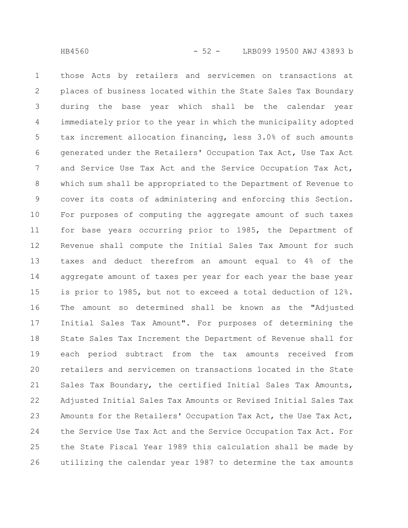those Acts by retailers and servicemen on transactions at places of business located within the State Sales Tax Boundary during the base year which shall be the calendar year immediately prior to the year in which the municipality adopted tax increment allocation financing, less 3.0% of such amounts generated under the Retailers' Occupation Tax Act, Use Tax Act and Service Use Tax Act and the Service Occupation Tax Act, which sum shall be appropriated to the Department of Revenue to cover its costs of administering and enforcing this Section. For purposes of computing the aggregate amount of such taxes for base years occurring prior to 1985, the Department of Revenue shall compute the Initial Sales Tax Amount for such taxes and deduct therefrom an amount equal to 4% of the aggregate amount of taxes per year for each year the base year is prior to 1985, but not to exceed a total deduction of 12%. The amount so determined shall be known as the "Adjusted Initial Sales Tax Amount". For purposes of determining the State Sales Tax Increment the Department of Revenue shall for each period subtract from the tax amounts received from retailers and servicemen on transactions located in the State Sales Tax Boundary, the certified Initial Sales Tax Amounts, Adjusted Initial Sales Tax Amounts or Revised Initial Sales Tax Amounts for the Retailers' Occupation Tax Act, the Use Tax Act, the Service Use Tax Act and the Service Occupation Tax Act. For the State Fiscal Year 1989 this calculation shall be made by utilizing the calendar year 1987 to determine the tax amounts 1 2 3 4 5 6 7 8 9 10 11 12 13 14 15 16 17 18 19 20 21 22 23 24 25 26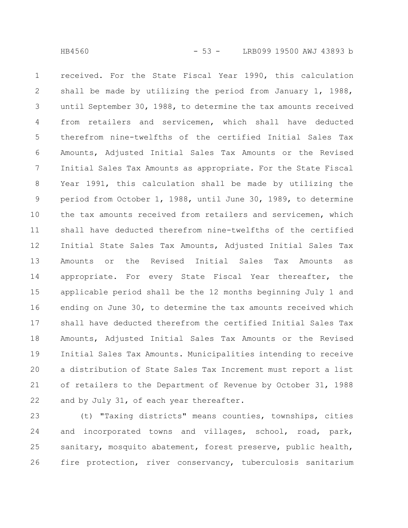received. For the State Fiscal Year 1990, this calculation shall be made by utilizing the period from January 1, 1988, until September 30, 1988, to determine the tax amounts received from retailers and servicemen, which shall have deducted therefrom nine-twelfths of the certified Initial Sales Tax Amounts, Adjusted Initial Sales Tax Amounts or the Revised Initial Sales Tax Amounts as appropriate. For the State Fiscal Year 1991, this calculation shall be made by utilizing the period from October 1, 1988, until June 30, 1989, to determine the tax amounts received from retailers and servicemen, which shall have deducted therefrom nine-twelfths of the certified Initial State Sales Tax Amounts, Adjusted Initial Sales Tax Amounts or the Revised Initial Sales Tax Amounts as appropriate. For every State Fiscal Year thereafter, the applicable period shall be the 12 months beginning July 1 and ending on June 30, to determine the tax amounts received which shall have deducted therefrom the certified Initial Sales Tax Amounts, Adjusted Initial Sales Tax Amounts or the Revised Initial Sales Tax Amounts. Municipalities intending to receive a distribution of State Sales Tax Increment must report a list of retailers to the Department of Revenue by October 31, 1988 and by July 31, of each year thereafter. 1 2 3 4 5 6 7 8 9 10 11 12 13 14 15 16 17 18 19 20 21 22

(t) "Taxing districts" means counties, townships, cities and incorporated towns and villages, school, road, park, sanitary, mosquito abatement, forest preserve, public health, fire protection, river conservancy, tuberculosis sanitarium 23 24 25 26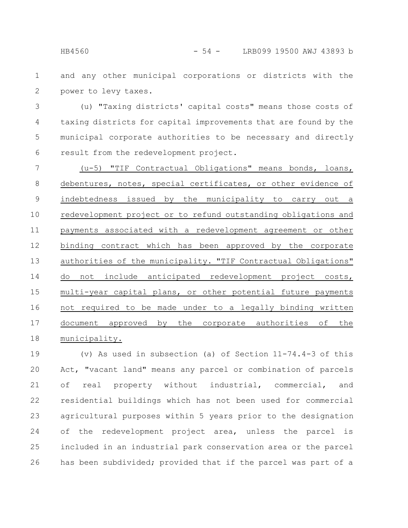and any other municipal corporations or districts with the 1

power to levy taxes. 2

(u) "Taxing districts' capital costs" means those costs of taxing districts for capital improvements that are found by the municipal corporate authorities to be necessary and directly result from the redevelopment project. 3 4 5 6

(u-5) "TIF Contractual Obligations" means bonds, loans, debentures, notes, special certificates, or other evidence of indebtedness issued by the municipality to carry out a redevelopment project or to refund outstanding obligations and payments associated with a redevelopment agreement or other binding contract which has been approved by the corporate authorities of the municipality. "TIF Contractual Obligations" do not include anticipated redevelopment project costs, multi-year capital plans, or other potential future payments not required to be made under to a legally binding written document approved by the corporate authorities of the municipality. 7 8 9 10 11 12 13 14 15 16 17 18

(v) As used in subsection (a) of Section  $11-74.4-3$  of this Act, "vacant land" means any parcel or combination of parcels of real property without industrial, commercial, and residential buildings which has not been used for commercial agricultural purposes within 5 years prior to the designation of the redevelopment project area, unless the parcel is included in an industrial park conservation area or the parcel has been subdivided; provided that if the parcel was part of a 19 20 21 22 23 24 25 26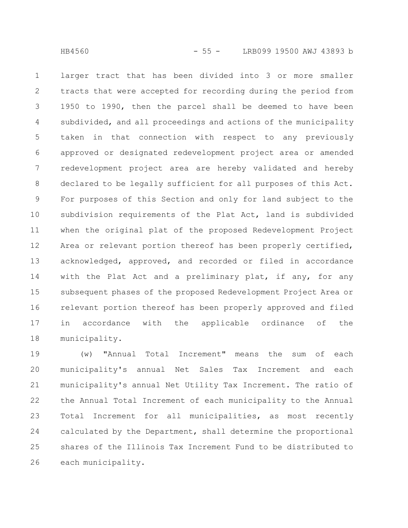larger tract that has been divided into 3 or more smaller tracts that were accepted for recording during the period from 1950 to 1990, then the parcel shall be deemed to have been subdivided, and all proceedings and actions of the municipality taken in that connection with respect to any previously approved or designated redevelopment project area or amended redevelopment project area are hereby validated and hereby declared to be legally sufficient for all purposes of this Act. For purposes of this Section and only for land subject to the subdivision requirements of the Plat Act, land is subdivided when the original plat of the proposed Redevelopment Project Area or relevant portion thereof has been properly certified, acknowledged, approved, and recorded or filed in accordance with the Plat Act and a preliminary plat, if any, for any subsequent phases of the proposed Redevelopment Project Area or relevant portion thereof has been properly approved and filed in accordance with the applicable ordinance of the municipality. 1 2 3 4 5 6 7 8 9 10 11 12 13 14 15 16 17 18

(w) "Annual Total Increment" means the sum of each municipality's annual Net Sales Tax Increment and each municipality's annual Net Utility Tax Increment. The ratio of the Annual Total Increment of each municipality to the Annual Total Increment for all municipalities, as most recently calculated by the Department, shall determine the proportional shares of the Illinois Tax Increment Fund to be distributed to each municipality. 19 20 21 22 23 24 25 26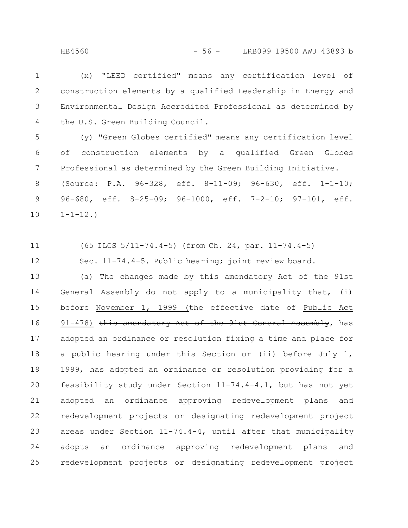(x) "LEED certified" means any certification level of construction elements by a qualified Leadership in Energy and Environmental Design Accredited Professional as determined by the U.S. Green Building Council. 1 2 3 4

(y) "Green Globes certified" means any certification level of construction elements by a qualified Green Globes Professional as determined by the Green Building Initiative. (Source: P.A. 96-328, eff. 8-11-09; 96-630, eff. 1-1-10; 96-680, eff. 8-25-09; 96-1000, eff. 7-2-10; 97-101, eff.  $1 - 1 - 12.$ 5 6 7 8 9 10

(65 ILCS 5/11-74.4-5) (from Ch. 24, par. 11-74.4-5) 11

Sec. 11-74.4-5. Public hearing; joint review board.

(a) The changes made by this amendatory Act of the 91st General Assembly do not apply to a municipality that, (i) before November 1, 1999 (the effective date of Public Act  $91-478$ ) this amendatory Act of the  $91st$  General Assembly, has adopted an ordinance or resolution fixing a time and place for a public hearing under this Section or (ii) before July 1, 1999, has adopted an ordinance or resolution providing for a feasibility study under Section 11-74.4-4.1, but has not yet adopted an ordinance approving redevelopment plans and redevelopment projects or designating redevelopment project areas under Section 11-74.4-4, until after that municipality adopts an ordinance approving redevelopment plans and redevelopment projects or designating redevelopment project 13 14 15 16 17 18 19 20 21 22 23 24 25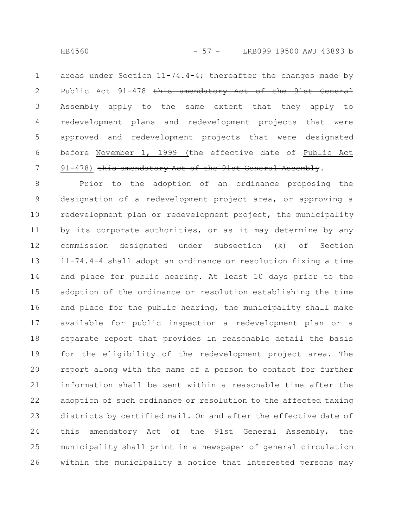areas under Section  $11-74.4-4$ ; thereafter the changes made by Public Act 91-478 this amendatory Act of the 91st General Assembly apply to the same extent that they apply to redevelopment plans and redevelopment projects that were approved and redevelopment projects that were designated before November 1, 1999 (the effective date of Public Act 91-478) this amendatory Act of the 91st General Assembly. 1 2 3 4 5 6 7

Prior to the adoption of an ordinance proposing the designation of a redevelopment project area, or approving a redevelopment plan or redevelopment project, the municipality by its corporate authorities, or as it may determine by any commission designated under subsection (k) of Section 11-74.4-4 shall adopt an ordinance or resolution fixing a time and place for public hearing. At least 10 days prior to the adoption of the ordinance or resolution establishing the time and place for the public hearing, the municipality shall make available for public inspection a redevelopment plan or a separate report that provides in reasonable detail the basis for the eligibility of the redevelopment project area. The report along with the name of a person to contact for further information shall be sent within a reasonable time after the adoption of such ordinance or resolution to the affected taxing districts by certified mail. On and after the effective date of this amendatory Act of the 91st General Assembly, the municipality shall print in a newspaper of general circulation within the municipality a notice that interested persons may 8 9 10 11 12 13 14 15 16 17 18 19 20 21 22 23 24 25 26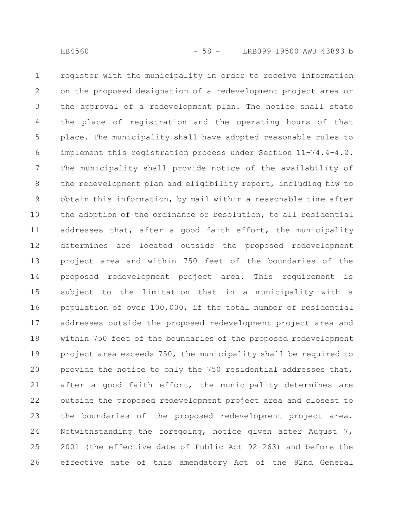register with the municipality in order to receive information on the proposed designation of a redevelopment project area or the approval of a redevelopment plan. The notice shall state the place of registration and the operating hours of that place. The municipality shall have adopted reasonable rules to implement this registration process under Section 11-74.4-4.2. The municipality shall provide notice of the availability of the redevelopment plan and eligibility report, including how to obtain this information, by mail within a reasonable time after the adoption of the ordinance or resolution, to all residential addresses that, after a good faith effort, the municipality determines are located outside the proposed redevelopment project area and within 750 feet of the boundaries of the proposed redevelopment project area. This requirement is subject to the limitation that in a municipality with a population of over 100,000, if the total number of residential addresses outside the proposed redevelopment project area and within 750 feet of the boundaries of the proposed redevelopment project area exceeds 750, the municipality shall be required to provide the notice to only the 750 residential addresses that, after a good faith effort, the municipality determines are outside the proposed redevelopment project area and closest to the boundaries of the proposed redevelopment project area. Notwithstanding the foregoing, notice given after August 7, 2001 (the effective date of Public Act 92-263) and before the effective date of this amendatory Act of the 92nd General 1 2 3 4 5 6 7 8 9 10 11 12 13 14 15 16 17 18 19 20 21 22 23 24 25 26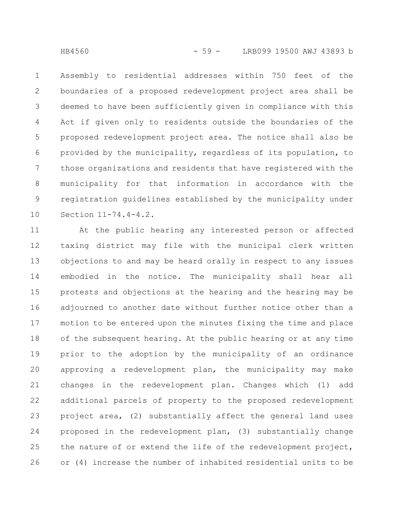Assembly to residential addresses within 750 feet of the boundaries of a proposed redevelopment project area shall be deemed to have been sufficiently given in compliance with this Act if given only to residents outside the boundaries of the proposed redevelopment project area. The notice shall also be provided by the municipality, regardless of its population, to those organizations and residents that have registered with the municipality for that information in accordance with the registration guidelines established by the municipality under Section 11-74.4-4.2. 1 2 3 4 5 6 7 8 9 10

At the public hearing any interested person or affected taxing district may file with the municipal clerk written objections to and may be heard orally in respect to any issues embodied in the notice. The municipality shall hear all protests and objections at the hearing and the hearing may be adjourned to another date without further notice other than a motion to be entered upon the minutes fixing the time and place of the subsequent hearing. At the public hearing or at any time prior to the adoption by the municipality of an ordinance approving a redevelopment plan, the municipality may make changes in the redevelopment plan. Changes which (1) add additional parcels of property to the proposed redevelopment project area, (2) substantially affect the general land uses proposed in the redevelopment plan, (3) substantially change the nature of or extend the life of the redevelopment project, or (4) increase the number of inhabited residential units to be 11 12 13 14 15 16 17 18 19 20 21 22 23 24 25 26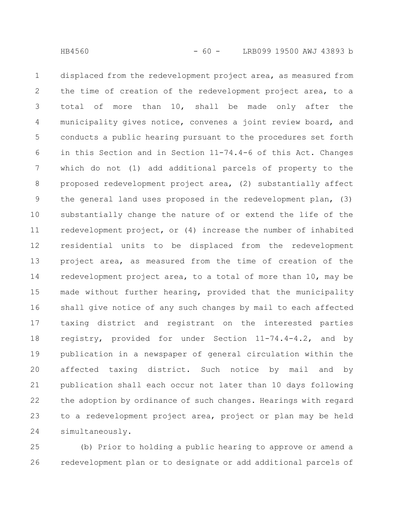displaced from the redevelopment project area, as measured from the time of creation of the redevelopment project area, to a total of more than 10, shall be made only after the municipality gives notice, convenes a joint review board, and conducts a public hearing pursuant to the procedures set forth in this Section and in Section 11-74.4-6 of this Act. Changes which do not (1) add additional parcels of property to the proposed redevelopment project area, (2) substantially affect the general land uses proposed in the redevelopment plan, (3) substantially change the nature of or extend the life of the redevelopment project, or (4) increase the number of inhabited residential units to be displaced from the redevelopment project area, as measured from the time of creation of the redevelopment project area, to a total of more than 10, may be made without further hearing, provided that the municipality shall give notice of any such changes by mail to each affected taxing district and registrant on the interested parties registry, provided for under Section 11-74.4-4.2, and by publication in a newspaper of general circulation within the affected taxing district. Such notice by mail and by publication shall each occur not later than 10 days following the adoption by ordinance of such changes. Hearings with regard to a redevelopment project area, project or plan may be held simultaneously. 1 2 3 4 5 6 7 8 9 10 11 12 13 14 15 16 17 18 19 20 21 22 23 24

(b) Prior to holding a public hearing to approve or amend a redevelopment plan or to designate or add additional parcels of 25 26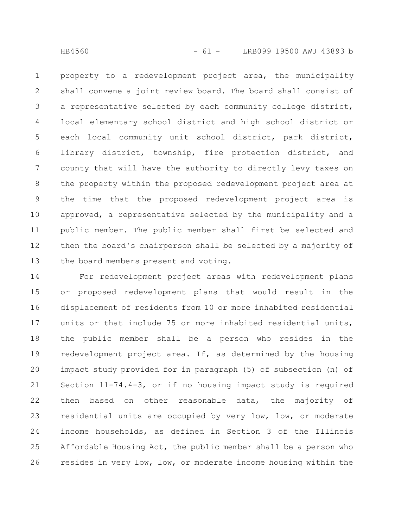property to a redevelopment project area, the municipality shall convene a joint review board. The board shall consist of a representative selected by each community college district, local elementary school district and high school district or each local community unit school district, park district, library district, township, fire protection district, and county that will have the authority to directly levy taxes on the property within the proposed redevelopment project area at the time that the proposed redevelopment project area is approved, a representative selected by the municipality and a public member. The public member shall first be selected and then the board's chairperson shall be selected by a majority of the board members present and voting. 1 2 3 4 5 6 7 8 9 10 11 12 13

For redevelopment project areas with redevelopment plans or proposed redevelopment plans that would result in the displacement of residents from 10 or more inhabited residential units or that include 75 or more inhabited residential units, the public member shall be a person who resides in the redevelopment project area. If, as determined by the housing impact study provided for in paragraph (5) of subsection (n) of Section 11-74.4-3, or if no housing impact study is required then based on other reasonable data, the majority of residential units are occupied by very low, low, or moderate income households, as defined in Section 3 of the Illinois Affordable Housing Act, the public member shall be a person who resides in very low, low, or moderate income housing within the 14 15 16 17 18 19 20 21 22 23 24 25 26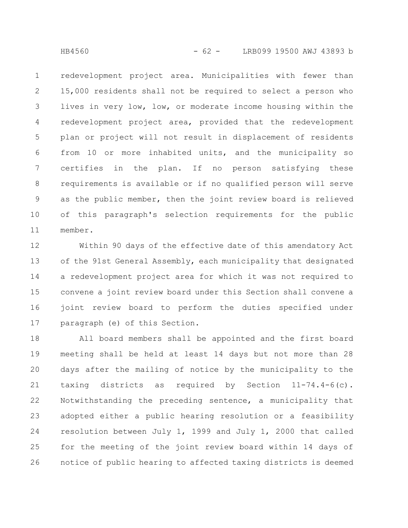redevelopment project area. Municipalities with fewer than 15,000 residents shall not be required to select a person who lives in very low, low, or moderate income housing within the redevelopment project area, provided that the redevelopment plan or project will not result in displacement of residents from 10 or more inhabited units, and the municipality so certifies in the plan. If no person satisfying these requirements is available or if no qualified person will serve as the public member, then the joint review board is relieved of this paragraph's selection requirements for the public member. 1 2 3 4 5 6 7 8 9 10 11

Within 90 days of the effective date of this amendatory Act of the 91st General Assembly, each municipality that designated a redevelopment project area for which it was not required to convene a joint review board under this Section shall convene a joint review board to perform the duties specified under paragraph (e) of this Section. 12 13 14 15 16 17

All board members shall be appointed and the first board meeting shall be held at least 14 days but not more than 28 days after the mailing of notice by the municipality to the taxing districts as required by Section 11-74.4-6(c). Notwithstanding the preceding sentence, a municipality that adopted either a public hearing resolution or a feasibility resolution between July 1, 1999 and July 1, 2000 that called for the meeting of the joint review board within 14 days of notice of public hearing to affected taxing districts is deemed 18 19 20 21 22 23 24 25 26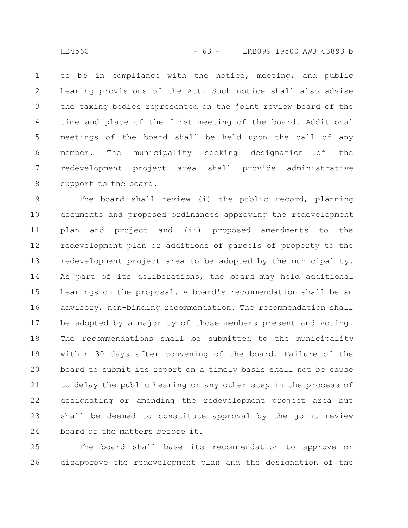to be in compliance with the notice, meeting, and public hearing provisions of the Act. Such notice shall also advise the taxing bodies represented on the joint review board of the time and place of the first meeting of the board. Additional meetings of the board shall be held upon the call of any member. The municipality seeking designation of the redevelopment project area shall provide administrative support to the board. 1 2 3 4 5 6 7 8

The board shall review (i) the public record, planning documents and proposed ordinances approving the redevelopment plan and project and (ii) proposed amendments to the redevelopment plan or additions of parcels of property to the redevelopment project area to be adopted by the municipality. As part of its deliberations, the board may hold additional hearings on the proposal. A board's recommendation shall be an advisory, non-binding recommendation. The recommendation shall be adopted by a majority of those members present and voting. The recommendations shall be submitted to the municipality within 30 days after convening of the board. Failure of the board to submit its report on a timely basis shall not be cause to delay the public hearing or any other step in the process of designating or amending the redevelopment project area but shall be deemed to constitute approval by the joint review board of the matters before it. 9 10 11 12 13 14 15 16 17 18 19 20 21 22 23 24

The board shall base its recommendation to approve or disapprove the redevelopment plan and the designation of the 25 26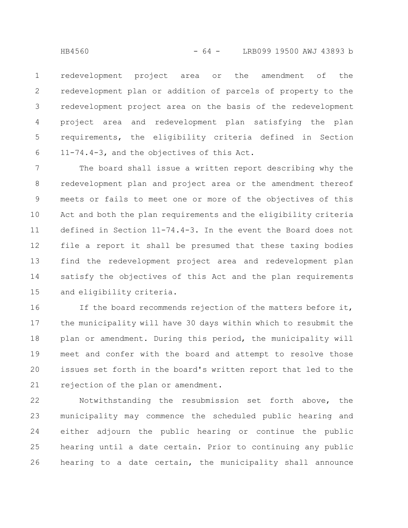redevelopment project area or the amendment of the redevelopment plan or addition of parcels of property to the redevelopment project area on the basis of the redevelopment project area and redevelopment plan satisfying the plan requirements, the eligibility criteria defined in Section 11-74.4-3, and the objectives of this Act. 1 2 3 4 5 6

The board shall issue a written report describing why the redevelopment plan and project area or the amendment thereof meets or fails to meet one or more of the objectives of this Act and both the plan requirements and the eligibility criteria defined in Section 11-74.4-3. In the event the Board does not file a report it shall be presumed that these taxing bodies find the redevelopment project area and redevelopment plan satisfy the objectives of this Act and the plan requirements and eligibility criteria. 7 8 9 10 11 12 13 14 15

If the board recommends rejection of the matters before it, the municipality will have 30 days within which to resubmit the plan or amendment. During this period, the municipality will meet and confer with the board and attempt to resolve those issues set forth in the board's written report that led to the rejection of the plan or amendment. 16 17 18 19 20 21

Notwithstanding the resubmission set forth above, the municipality may commence the scheduled public hearing and either adjourn the public hearing or continue the public hearing until a date certain. Prior to continuing any public hearing to a date certain, the municipality shall announce 22 23 24 25 26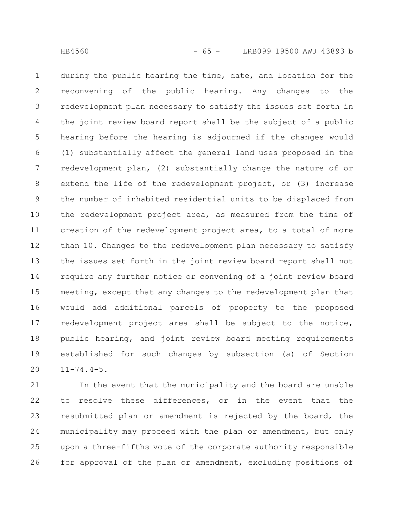during the public hearing the time, date, and location for the reconvening of the public hearing. Any changes to the redevelopment plan necessary to satisfy the issues set forth in the joint review board report shall be the subject of a public hearing before the hearing is adjourned if the changes would (1) substantially affect the general land uses proposed in the redevelopment plan, (2) substantially change the nature of or extend the life of the redevelopment project, or (3) increase the number of inhabited residential units to be displaced from the redevelopment project area, as measured from the time of creation of the redevelopment project area, to a total of more than 10. Changes to the redevelopment plan necessary to satisfy the issues set forth in the joint review board report shall not require any further notice or convening of a joint review board meeting, except that any changes to the redevelopment plan that would add additional parcels of property to the proposed redevelopment project area shall be subject to the notice, public hearing, and joint review board meeting requirements established for such changes by subsection (a) of Section 11-74.4-5. 1 2 3 4 5 6 7 8 9 10 11 12 13 14 15 16 17 18 19 20

In the event that the municipality and the board are unable to resolve these differences, or in the event that the resubmitted plan or amendment is rejected by the board, the municipality may proceed with the plan or amendment, but only upon a three-fifths vote of the corporate authority responsible for approval of the plan or amendment, excluding positions of 21 22 23 24 25 26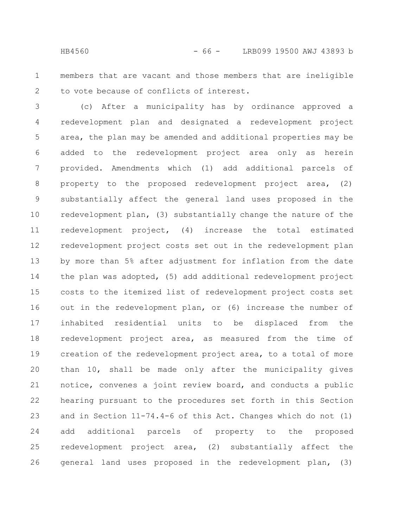members that are vacant and those members that are ineligible to vote because of conflicts of interest. 1 2

(c) After a municipality has by ordinance approved a redevelopment plan and designated a redevelopment project area, the plan may be amended and additional properties may be added to the redevelopment project area only as herein provided. Amendments which (1) add additional parcels of property to the proposed redevelopment project area, (2) substantially affect the general land uses proposed in the redevelopment plan, (3) substantially change the nature of the redevelopment project, (4) increase the total estimated redevelopment project costs set out in the redevelopment plan by more than 5% after adjustment for inflation from the date the plan was adopted, (5) add additional redevelopment project costs to the itemized list of redevelopment project costs set out in the redevelopment plan, or (6) increase the number of inhabited residential units to be displaced from the redevelopment project area, as measured from the time of creation of the redevelopment project area, to a total of more than 10, shall be made only after the municipality gives notice, convenes a joint review board, and conducts a public hearing pursuant to the procedures set forth in this Section and in Section 11-74.4-6 of this Act. Changes which do not (1) add additional parcels of property to the proposed redevelopment project area, (2) substantially affect the general land uses proposed in the redevelopment plan, (3) 3 4 5 6 7 8 9 10 11 12 13 14 15 16 17 18 19 20 21 22 23 24 25 26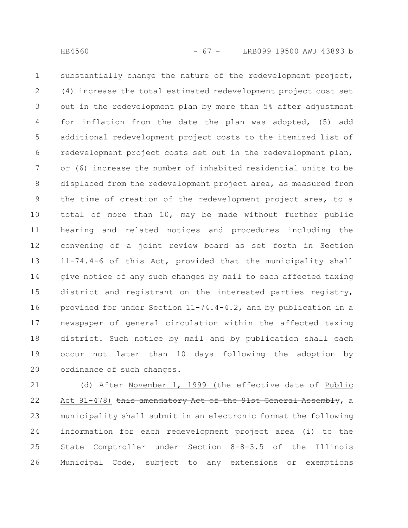substantially change the nature of the redevelopment project, (4) increase the total estimated redevelopment project cost set out in the redevelopment plan by more than 5% after adjustment for inflation from the date the plan was adopted, (5) add additional redevelopment project costs to the itemized list of redevelopment project costs set out in the redevelopment plan, or (6) increase the number of inhabited residential units to be displaced from the redevelopment project area, as measured from the time of creation of the redevelopment project area, to a total of more than 10, may be made without further public hearing and related notices and procedures including the convening of a joint review board as set forth in Section 11-74.4-6 of this Act, provided that the municipality shall give notice of any such changes by mail to each affected taxing district and registrant on the interested parties registry, provided for under Section 11-74.4-4.2, and by publication in a newspaper of general circulation within the affected taxing district. Such notice by mail and by publication shall each occur not later than 10 days following the adoption by ordinance of such changes. 1 2 3 4 5 6 7 8 9 10 11 12 13 14 15 16 17 18 19 20

(d) After November 1, 1999 (the effective date of Public Act 91-478) this amendatory Act of the 91st General Assembly, a municipality shall submit in an electronic format the following information for each redevelopment project area (i) to the State Comptroller under Section 8-8-3.5 of the Illinois Municipal Code, subject to any extensions or exemptions 21 22 23 24 25 26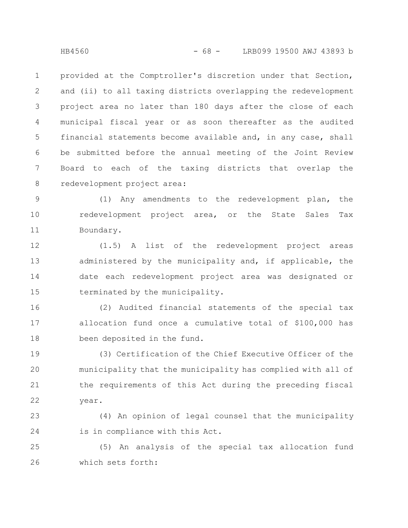provided at the Comptroller's discretion under that Section, and (ii) to all taxing districts overlapping the redevelopment project area no later than 180 days after the close of each municipal fiscal year or as soon thereafter as the audited financial statements become available and, in any case, shall be submitted before the annual meeting of the Joint Review Board to each of the taxing districts that overlap the redevelopment project area: 1 2 3 4 5 6 7 8

(1) Any amendments to the redevelopment plan, the redevelopment project area, or the State Sales Tax Boundary. 9 10 11

(1.5) A list of the redevelopment project areas administered by the municipality and, if applicable, the date each redevelopment project area was designated or terminated by the municipality. 12 13 14 15

(2) Audited financial statements of the special tax allocation fund once a cumulative total of \$100,000 has been deposited in the fund. 16 17 18

(3) Certification of the Chief Executive Officer of the municipality that the municipality has complied with all of the requirements of this Act during the preceding fiscal year. 19 20 21 22

(4) An opinion of legal counsel that the municipality is in compliance with this Act. 23 24

(5) An analysis of the special tax allocation fund which sets forth: 25 26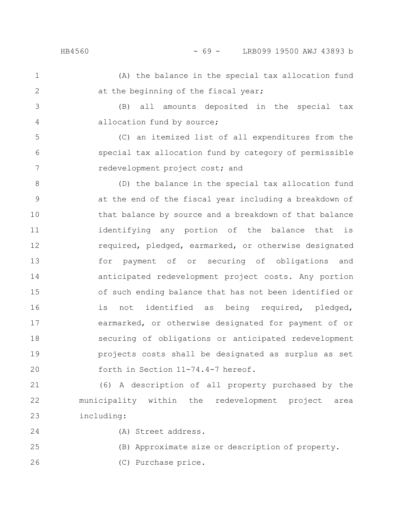6

7

(A) the balance in the special tax allocation fund at the beginning of the fiscal year; 1 2

(B) all amounts deposited in the special tax allocation fund by source; 3 4

(C) an itemized list of all expenditures from the special tax allocation fund by category of permissible redevelopment project cost; and

(D) the balance in the special tax allocation fund at the end of the fiscal year including a breakdown of that balance by source and a breakdown of that balance identifying any portion of the balance that is required, pledged, earmarked, or otherwise designated for payment of or securing of obligations and anticipated redevelopment project costs. Any portion of such ending balance that has not been identified or is not identified as being required, pledged, earmarked, or otherwise designated for payment of or securing of obligations or anticipated redevelopment projects costs shall be designated as surplus as set forth in Section 11-74.4-7 hereof. 8 9 10 11 12 13 14 15 16 17 18 19 20

(6) A description of all property purchased by the municipality within the redevelopment project area including: 21 22 23

24

26

(A) Street address.

(B) Approximate size or description of property. 25

(C) Purchase price.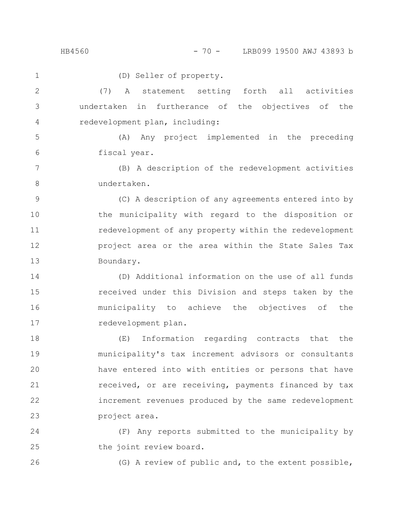## HB4560 - 70 - LRB099 19500 AWJ 43893 b

(D) Seller of property. (7) A statement setting forth all activities undertaken in furtherance of the objectives of the redevelopment plan, including: (A) Any project implemented in the preceding fiscal year. (B) A description of the redevelopment activities undertaken. (C) A description of any agreements entered into by the municipality with regard to the disposition or redevelopment of any property within the redevelopment project area or the area within the State Sales Tax Boundary. (D) Additional information on the use of all funds received under this Division and steps taken by the municipality to achieve the objectives of the redevelopment plan. (E) Information regarding contracts that the municipality's tax increment advisors or consultants have entered into with entities or persons that have received, or are receiving, payments financed by tax increment revenues produced by the same redevelopment project area. (F) Any reports submitted to the municipality by the joint review board. 1 2 3 4 5 6 7 8 9 10 11 12 13 14 15 16 17 18 19 20 21 22 23 24 25

(G) A review of public and, to the extent possible,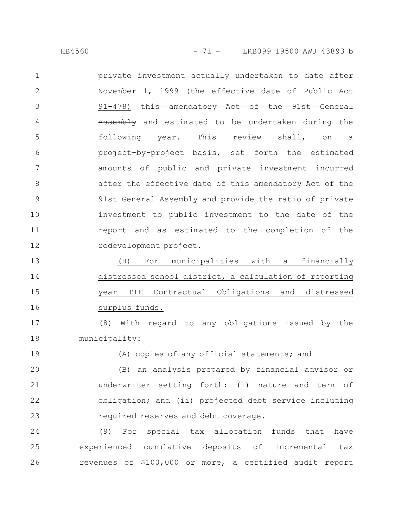HB4560 - 71 - LRB099 19500 AWJ 43893 b

private investment actually undertaken to date after November 1, 1999 (the effective date of Public Act 91-478) this amendatory Act of the 91st General Assembly and estimated to be undertaken during the following year. This review shall, on a project-by-project basis, set forth the estimated amounts of public and private investment incurred after the effective date of this amendatory Act of the 91st General Assembly and provide the ratio of private investment to public investment to the date of the report and as estimated to the completion of the redevelopment project. 1 2 3 4 5 6 7 8 9 10 11 12

(H) For municipalities with a financially distressed school district, a calculation of reporting year TIF Contractual Obligations and distressed surplus funds. 13 14 15 16

(8) With regard to any obligations issued by the municipality: 17 18

19

(A) copies of any official statements; and

(B) an analysis prepared by financial advisor or underwriter setting forth: (i) nature and term of obligation; and (ii) projected debt service including required reserves and debt coverage. 20 21 22 23

(9) For special tax allocation funds that have experienced cumulative deposits of incremental tax revenues of \$100,000 or more, a certified audit report 24 25 26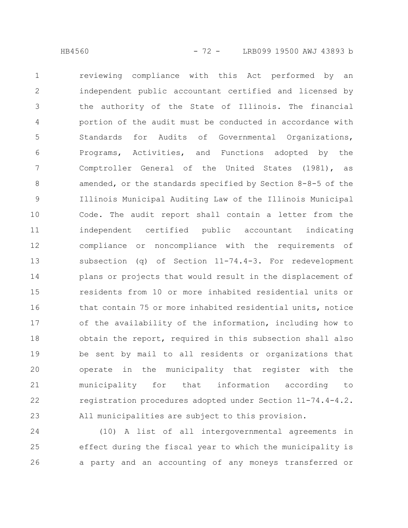reviewing compliance with this Act performed by an independent public accountant certified and licensed by the authority of the State of Illinois. The financial portion of the audit must be conducted in accordance with Standards for Audits of Governmental Organizations, Programs, Activities, and Functions adopted by the Comptroller General of the United States (1981), as amended, or the standards specified by Section 8-8-5 of the Illinois Municipal Auditing Law of the Illinois Municipal Code. The audit report shall contain a letter from the independent certified public accountant indicating compliance or noncompliance with the requirements of subsection (q) of Section 11-74.4-3. For redevelopment plans or projects that would result in the displacement of residents from 10 or more inhabited residential units or that contain 75 or more inhabited residential units, notice of the availability of the information, including how to obtain the report, required in this subsection shall also be sent by mail to all residents or organizations that operate in the municipality that register with the municipality for that information according to registration procedures adopted under Section 11-74.4-4.2. All municipalities are subject to this provision. 1 2 3 4 5 6 7 8 9 10 11 12 13 14 15 16 17 18 19 20 21 22 23

(10) A list of all intergovernmental agreements in effect during the fiscal year to which the municipality is a party and an accounting of any moneys transferred or 24 25 26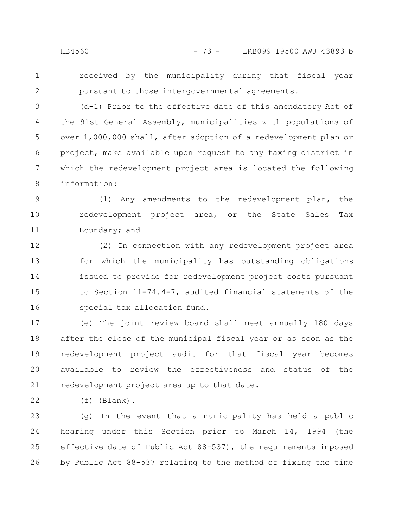- 
- 1 2

received by the municipality during that fiscal year pursuant to those intergovernmental agreements.

(d-1) Prior to the effective date of this amendatory Act of the 91st General Assembly, municipalities with populations of over 1,000,000 shall, after adoption of a redevelopment plan or project, make available upon request to any taxing district in which the redevelopment project area is located the following information: 3 4 5 6 7 8

(1) Any amendments to the redevelopment plan, the redevelopment project area, or the State Sales Tax Boundary; and 9 10 11

(2) In connection with any redevelopment project area for which the municipality has outstanding obligations issued to provide for redevelopment project costs pursuant to Section 11-74.4-7, audited financial statements of the special tax allocation fund. 12 13 14 15 16

(e) The joint review board shall meet annually 180 days after the close of the municipal fiscal year or as soon as the redevelopment project audit for that fiscal year becomes available to review the effectiveness and status of the redevelopment project area up to that date. 17 18 19 20 21

(f) (Blank). 22

(g) In the event that a municipality has held a public hearing under this Section prior to March 14, 1994 (the effective date of Public Act 88-537), the requirements imposed by Public Act 88-537 relating to the method of fixing the time 23 24 25 26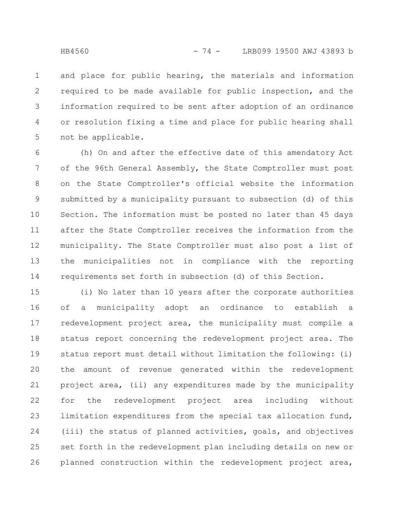and place for public hearing, the materials and information required to be made available for public inspection, and the information required to be sent after adoption of an ordinance or resolution fixing a time and place for public hearing shall not be applicable. 1 2 3 4 5

(h) On and after the effective date of this amendatory Act of the 96th General Assembly, the State Comptroller must post on the State Comptroller's official website the information submitted by a municipality pursuant to subsection (d) of this Section. The information must be posted no later than 45 days after the State Comptroller receives the information from the municipality. The State Comptroller must also post a list of the municipalities not in compliance with the reporting requirements set forth in subsection (d) of this Section. 6 7 8 9 10 11 12 13 14

(i) No later than 10 years after the corporate authorities of a municipality adopt an ordinance to establish a redevelopment project area, the municipality must compile a status report concerning the redevelopment project area. The status report must detail without limitation the following: (i) the amount of revenue generated within the redevelopment project area, (ii) any expenditures made by the municipality for the redevelopment project area including without limitation expenditures from the special tax allocation fund, (iii) the status of planned activities, goals, and objectives set forth in the redevelopment plan including details on new or planned construction within the redevelopment project area, 15 16 17 18 19 20 21 22 23 24 25 26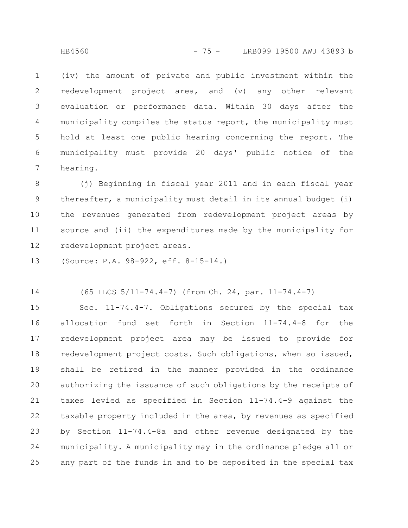(iv) the amount of private and public investment within the redevelopment project area, and (v) any other relevant evaluation or performance data. Within 30 days after the municipality compiles the status report, the municipality must hold at least one public hearing concerning the report. The municipality must provide 20 days' public notice of the hearing. 1 2 3 4 5 6 7

(j) Beginning in fiscal year 2011 and in each fiscal year thereafter, a municipality must detail in its annual budget (i) the revenues generated from redevelopment project areas by source and (ii) the expenditures made by the municipality for redevelopment project areas. 8 9 10 11 12

(Source: P.A. 98-922, eff. 8-15-14.) 13

(65 ILCS 5/11-74.4-7) (from Ch. 24, par. 11-74.4-7) 14

Sec. 11-74.4-7. Obligations secured by the special tax allocation fund set forth in Section 11-74.4-8 for the redevelopment project area may be issued to provide for redevelopment project costs. Such obligations, when so issued, shall be retired in the manner provided in the ordinance authorizing the issuance of such obligations by the receipts of taxes levied as specified in Section 11-74.4-9 against the taxable property included in the area, by revenues as specified by Section 11-74.4-8a and other revenue designated by the municipality. A municipality may in the ordinance pledge all or any part of the funds in and to be deposited in the special tax 15 16 17 18 19 20 21 22 23 24 25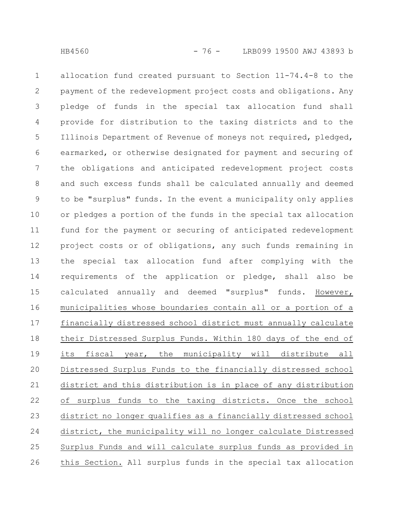allocation fund created pursuant to Section 11-74.4-8 to the payment of the redevelopment project costs and obligations. Any pledge of funds in the special tax allocation fund shall provide for distribution to the taxing districts and to the Illinois Department of Revenue of moneys not required, pledged, earmarked, or otherwise designated for payment and securing of the obligations and anticipated redevelopment project costs and such excess funds shall be calculated annually and deemed to be "surplus" funds. In the event a municipality only applies or pledges a portion of the funds in the special tax allocation fund for the payment or securing of anticipated redevelopment project costs or of obligations, any such funds remaining in the special tax allocation fund after complying with the requirements of the application or pledge, shall also be calculated annually and deemed "surplus" funds. However, municipalities whose boundaries contain all or a portion of a financially distressed school district must annually calculate their Distressed Surplus Funds. Within 180 days of the end of its fiscal year, the municipality will distribute all Distressed Surplus Funds to the financially distressed school district and this distribution is in place of any distribution of surplus funds to the taxing districts. Once the school district no longer qualifies as a financially distressed school district, the municipality will no longer calculate Distressed 1 2 3 4 5 6 7 8 9 10 11 12 13 14 15 16 17 18 19 20 21 22 23 24

this Section. All surplus funds in the special tax allocation 26

Surplus Funds and will calculate surplus funds as provided in

25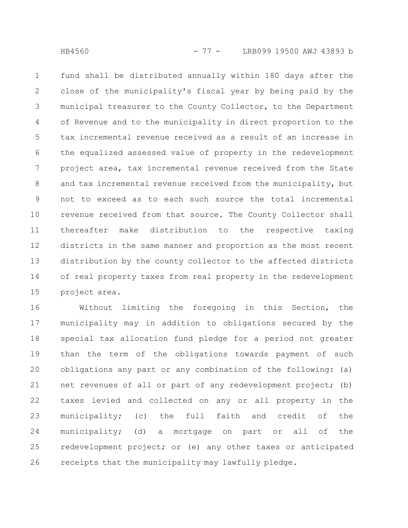fund shall be distributed annually within 180 days after the close of the municipality's fiscal year by being paid by the municipal treasurer to the County Collector, to the Department of Revenue and to the municipality in direct proportion to the tax incremental revenue received as a result of an increase in the equalized assessed value of property in the redevelopment project area, tax incremental revenue received from the State and tax incremental revenue received from the municipality, but not to exceed as to each such source the total incremental revenue received from that source. The County Collector shall thereafter make distribution to the respective taxing districts in the same manner and proportion as the most recent distribution by the county collector to the affected districts of real property taxes from real property in the redevelopment project area. 1 2 3 4 5 6 7 8 9 10 11 12 13 14 15

Without limiting the foregoing in this Section, the municipality may in addition to obligations secured by the special tax allocation fund pledge for a period not greater than the term of the obligations towards payment of such obligations any part or any combination of the following: (a) net revenues of all or part of any redevelopment project; (b) taxes levied and collected on any or all property in the municipality; (c) the full faith and credit of the municipality; (d) a mortgage on part or all of the redevelopment project; or (e) any other taxes or anticipated receipts that the municipality may lawfully pledge. 16 17 18 19 20 21 22 23 24 25 26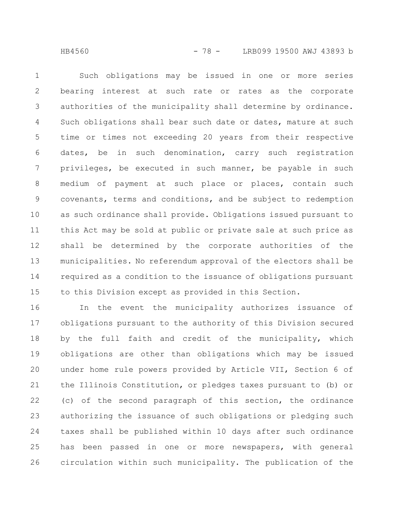Such obligations may be issued in one or more series bearing interest at such rate or rates as the corporate authorities of the municipality shall determine by ordinance. Such obligations shall bear such date or dates, mature at such time or times not exceeding 20 years from their respective dates, be in such denomination, carry such registration privileges, be executed in such manner, be payable in such medium of payment at such place or places, contain such covenants, terms and conditions, and be subject to redemption as such ordinance shall provide. Obligations issued pursuant to this Act may be sold at public or private sale at such price as shall be determined by the corporate authorities of the municipalities. No referendum approval of the electors shall be required as a condition to the issuance of obligations pursuant to this Division except as provided in this Section. 1 2 3 4 5 6 7 8 9 10 11 12 13 14 15

In the event the municipality authorizes issuance of obligations pursuant to the authority of this Division secured by the full faith and credit of the municipality, which obligations are other than obligations which may be issued under home rule powers provided by Article VII, Section 6 of the Illinois Constitution, or pledges taxes pursuant to (b) or (c) of the second paragraph of this section, the ordinance authorizing the issuance of such obligations or pledging such taxes shall be published within 10 days after such ordinance has been passed in one or more newspapers, with general circulation within such municipality. The publication of the 16 17 18 19 20 21 22 23 24 25 26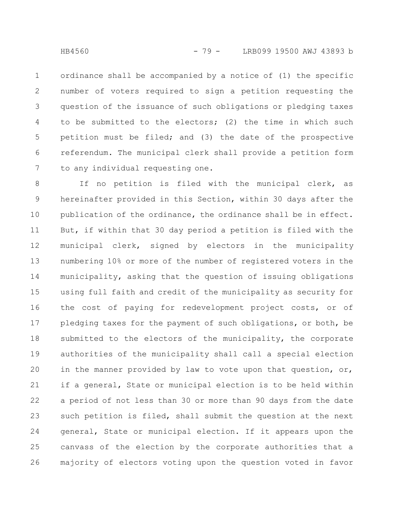ordinance shall be accompanied by a notice of (1) the specific number of voters required to sign a petition requesting the question of the issuance of such obligations or pledging taxes to be submitted to the electors; (2) the time in which such petition must be filed; and (3) the date of the prospective referendum. The municipal clerk shall provide a petition form to any individual requesting one. 1 2 3 4 5 6 7

If no petition is filed with the municipal clerk, as hereinafter provided in this Section, within 30 days after the publication of the ordinance, the ordinance shall be in effect. But, if within that 30 day period a petition is filed with the municipal clerk, signed by electors in the municipality numbering 10% or more of the number of registered voters in the municipality, asking that the question of issuing obligations using full faith and credit of the municipality as security for the cost of paying for redevelopment project costs, or of pledging taxes for the payment of such obligations, or both, be submitted to the electors of the municipality, the corporate authorities of the municipality shall call a special election in the manner provided by law to vote upon that question, or, if a general, State or municipal election is to be held within a period of not less than 30 or more than 90 days from the date such petition is filed, shall submit the question at the next general, State or municipal election. If it appears upon the canvass of the election by the corporate authorities that a majority of electors voting upon the question voted in favor 8 9 10 11 12 13 14 15 16 17 18 19 20 21 22 23 24 25 26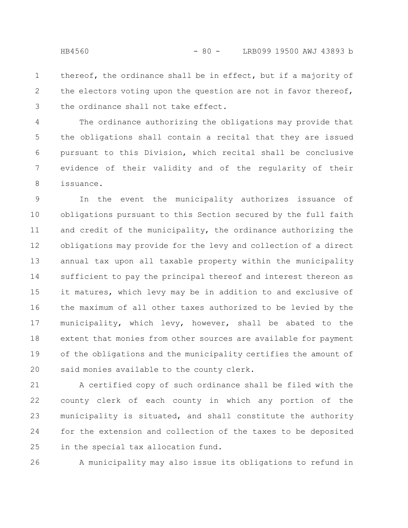thereof, the ordinance shall be in effect, but if a majority of the electors voting upon the question are not in favor thereof, the ordinance shall not take effect. 1 2 3

The ordinance authorizing the obligations may provide that the obligations shall contain a recital that they are issued pursuant to this Division, which recital shall be conclusive evidence of their validity and of the regularity of their issuance. 4 5 6 7 8

In the event the municipality authorizes issuance of obligations pursuant to this Section secured by the full faith and credit of the municipality, the ordinance authorizing the obligations may provide for the levy and collection of a direct annual tax upon all taxable property within the municipality sufficient to pay the principal thereof and interest thereon as it matures, which levy may be in addition to and exclusive of the maximum of all other taxes authorized to be levied by the municipality, which levy, however, shall be abated to the extent that monies from other sources are available for payment of the obligations and the municipality certifies the amount of said monies available to the county clerk. 9 10 11 12 13 14 15 16 17 18 19 20

A certified copy of such ordinance shall be filed with the county clerk of each county in which any portion of the municipality is situated, and shall constitute the authority for the extension and collection of the taxes to be deposited in the special tax allocation fund. 21 22 23 24 25

A municipality may also issue its obligations to refund in 26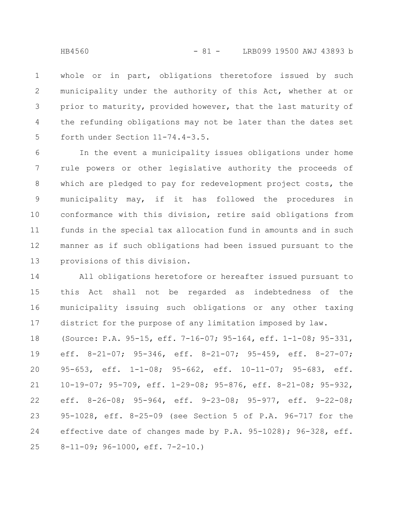whole or in part, obligations theretofore issued by such municipality under the authority of this Act, whether at or prior to maturity, provided however, that the last maturity of the refunding obligations may not be later than the dates set forth under Section 11-74.4-3.5. 1 2 3 4 5

In the event a municipality issues obligations under home rule powers or other legislative authority the proceeds of which are pledged to pay for redevelopment project costs, the municipality may, if it has followed the procedures in conformance with this division, retire said obligations from funds in the special tax allocation fund in amounts and in such manner as if such obligations had been issued pursuant to the provisions of this division. 6 7 8 9 10 11 12 13

All obligations heretofore or hereafter issued pursuant to this Act shall not be regarded as indebtedness of the municipality issuing such obligations or any other taxing district for the purpose of any limitation imposed by law. (Source: P.A. 95-15, eff. 7-16-07; 95-164, eff. 1-1-08; 95-331, eff. 8-21-07; 95-346, eff. 8-21-07; 95-459, eff. 8-27-07; 95-653, eff. 1-1-08; 95-662, eff. 10-11-07; 95-683, eff. 10-19-07; 95-709, eff. 1-29-08; 95-876, eff. 8-21-08; 95-932, eff. 8-26-08; 95-964, eff. 9-23-08; 95-977, eff. 9-22-08; 95-1028, eff. 8-25-09 (see Section 5 of P.A. 96-717 for the effective date of changes made by P.A. 95-1028); 96-328, eff. 8-11-09; 96-1000, eff. 7-2-10.) 14 15 16 17 18 19 20 21 22 23 24 25